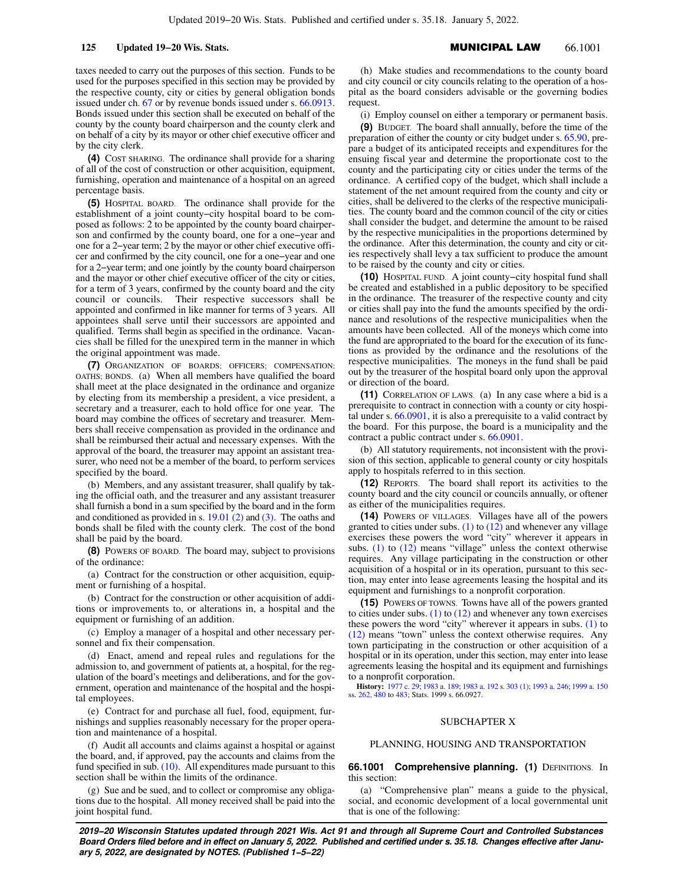taxes needed to carry out the purposes of this section. Funds to be used for the purposes specified in this section may be provided by the respective county, city or cities by general obligation bonds issued under ch. 67 or by revenue bonds issued under s. 66.0913. Bonds issued under this section shall be executed on behalf of the county by the county board chairperson and the county clerk and on behalf of a city by its mayor or other chief executive officer and by the city clerk.

**(4)** COST SHARING. The ordinance shall provide for a sharing of all of the cost of construction or other acquisition, equipment, furnishing, operation and maintenance of a hospital on an agreed percentage basis.

**(5)** HOSPITAL BOARD. The ordinance shall provide for the establishment of a joint county−city hospital board to be composed as follows: 2 to be appointed by the county board chairperson and confirmed by the county board, one for a one−year and one for a 2−year term; 2 by the mayor or other chief executive officer and confirmed by the city council, one for a one−year and one for a 2−year term; and one jointly by the county board chairperson and the mayor or other chief executive officer of the city or cities, for a term of 3 years, confirmed by the county board and the city council or councils. Their respective successors shall be appointed and confirmed in like manner for terms of 3 years. All appointees shall serve until their successors are appointed and qualified. Terms shall begin as specified in the ordinance. Vacancies shall be filled for the unexpired term in the manner in which the original appointment was made.

**(7)** ORGANIZATION OF BOARDS; OFFICERS; COMPENSATION; OATHS; BONDS. (a) When all members have qualified the board shall meet at the place designated in the ordinance and organize by electing from its membership a president, a vice president, a secretary and a treasurer, each to hold office for one year. The board may combine the offices of secretary and treasurer. Members shall receive compensation as provided in the ordinance and shall be reimbursed their actual and necessary expenses. With the approval of the board, the treasurer may appoint an assistant treasurer, who need not be a member of the board, to perform services specified by the board.

(b) Members, and any assistant treasurer, shall qualify by taking the official oath, and the treasurer and any assistant treasurer shall furnish a bond in a sum specified by the board and in the form and conditioned as provided in s. 19.01 (2) and (3). The oaths and bonds shall be filed with the county clerk. The cost of the bond shall be paid by the board.

**(8)** POWERS OF BOARD. The board may, subject to provisions of the ordinance:

(a) Contract for the construction or other acquisition, equipment or furnishing of a hospital.

(b) Contract for the construction or other acquisition of additions or improvements to, or alterations in, a hospital and the equipment or furnishing of an addition.

(c) Employ a manager of a hospital and other necessary personnel and fix their compensation.

(d) Enact, amend and repeal rules and regulations for the admission to, and government of patients at, a hospital, for the regulation of the board's meetings and deliberations, and for the government, operation and maintenance of the hospital and the hospital employees.

(e) Contract for and purchase all fuel, food, equipment, furnishings and supplies reasonably necessary for the proper operation and maintenance of a hospital.

(f) Audit all accounts and claims against a hospital or against the board, and, if approved, pay the accounts and claims from the fund specified in sub.  $(10)$ . All expenditures made pursuant to this section shall be within the limits of the ordinance.

(g) Sue and be sued, and to collect or compromise any obligations due to the hospital. All money received shall be paid into the joint hospital fund.

(h) Make studies and recommendations to the county board and city council or city councils relating to the operation of a hospital as the board considers advisable or the governing bodies request.

(i) Employ counsel on either a temporary or permanent basis.

**(9)** BUDGET. The board shall annually, before the time of the preparation of either the county or city budget under s. 65.90, prepare a budget of its anticipated receipts and expenditures for the ensuing fiscal year and determine the proportionate cost to the county and the participating city or cities under the terms of the ordinance. A certified copy of the budget, which shall include a statement of the net amount required from the county and city or cities, shall be delivered to the clerks of the respective municipalities. The county board and the common council of the city or cities shall consider the budget, and determine the amount to be raised by the respective municipalities in the proportions determined by the ordinance. After this determination, the county and city or cities respectively shall levy a tax sufficient to produce the amount to be raised by the county and city or cities.

**(10)** HOSPITAL FUND. A joint county−city hospital fund shall be created and established in a public depository to be specified in the ordinance. The treasurer of the respective county and city or cities shall pay into the fund the amounts specified by the ordinance and resolutions of the respective municipalities when the amounts have been collected. All of the moneys which come into the fund are appropriated to the board for the execution of its functions as provided by the ordinance and the resolutions of the respective municipalities. The moneys in the fund shall be paid out by the treasurer of the hospital board only upon the approval or direction of the board.

**(11)** CORRELATION OF LAWS. (a) In any case where a bid is a prerequisite to contract in connection with a county or city hospital under s. 66.0901, it is also a prerequisite to a valid contract by the board. For this purpose, the board is a municipality and the contract a public contract under s. 66.0901.

(b) All statutory requirements, not inconsistent with the provision of this section, applicable to general county or city hospitals apply to hospitals referred to in this section.

**(12)** REPORTS. The board shall report its activities to the county board and the city council or councils annually, or oftener as either of the municipalities requires.

**(14)** POWERS OF VILLAGES. Villages have all of the powers granted to cities under subs.  $(1)$  to  $(12)$  and whenever any village exercises these powers the word "city" wherever it appears in subs. (1) to (12) means "village" unless the context otherwise requires. Any village participating in the construction or other acquisition of a hospital or in its operation, pursuant to this section, may enter into lease agreements leasing the hospital and its equipment and furnishings to a nonprofit corporation.

**(15)** POWERS OF TOWNS. Towns have all of the powers granted to cities under subs.  $(1)$  to  $(12)$  and whenever any town exercises these powers the word "city" wherever it appears in subs. (1) to (12) means "town" unless the context otherwise requires. Any town participating in the construction or other acquisition of a hospital or in its operation, under this section, may enter into lease agreements leasing the hospital and its equipment and furnishings to a nonprofit corporation.

**History:** 1977 c. 29; 1983 a. 189; 1983 a. 192 s. 303 (1); 1993 a. 246; 1999 a. 150 ss. 262, 480 to 483; Stats. 1999 s. 66.0927.

## SUBCHAPTER X

## PLANNING, HOUSING AND TRANSPORTATION

**66.1001 Comprehensive planning. (1) DEFINITIONS. In** this section:

(a) "Comprehensive plan" means a guide to the physical, social, and economic development of a local governmental unit that is one of the following: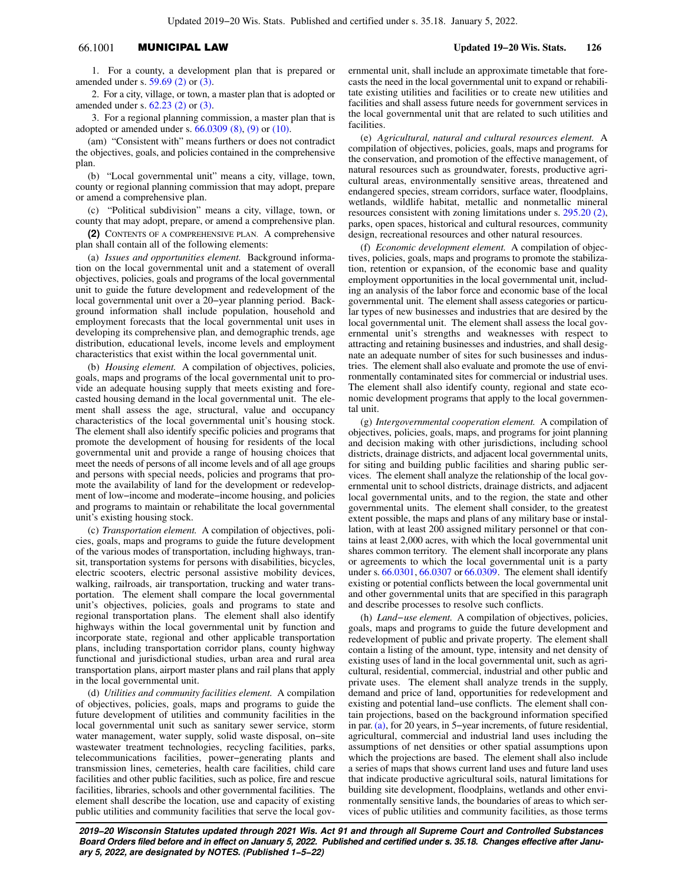# 66.1001 MUNICIPAL LAW **Updated 19−20 Wis. Stats. 126**

1. For a county, a development plan that is prepared or amended under s. 59.69 (2) or (3).

2. For a city, village, or town, a master plan that is adopted or amended under s. 62.23 (2) or (3).

3. For a regional planning commission, a master plan that is adopted or amended under s. 66.0309 (8), (9) or (10).

(am) "Consistent with" means furthers or does not contradict the objectives, goals, and policies contained in the comprehensive plan.

(b) "Local governmental unit" means a city, village, town, county or regional planning commission that may adopt, prepare or amend a comprehensive plan.

(c) "Political subdivision" means a city, village, town, or county that may adopt, prepare, or amend a comprehensive plan.

**(2)** CONTENTS OF A COMPREHENSIVE PLAN. A comprehensive plan shall contain all of the following elements:

(a) *Issues and opportunities element.* Background information on the local governmental unit and a statement of overall objectives, policies, goals and programs of the local governmental unit to guide the future development and redevelopment of the local governmental unit over a 20−year planning period. Background information shall include population, household and employment forecasts that the local governmental unit uses in developing its comprehensive plan, and demographic trends, age distribution, educational levels, income levels and employment characteristics that exist within the local governmental unit.

(b) *Housing element.* A compilation of objectives, policies, goals, maps and programs of the local governmental unit to provide an adequate housing supply that meets existing and forecasted housing demand in the local governmental unit. The element shall assess the age, structural, value and occupancy characteristics of the local governmental unit's housing stock. The element shall also identify specific policies and programs that promote the development of housing for residents of the local governmental unit and provide a range of housing choices that meet the needs of persons of all income levels and of all age groups and persons with special needs, policies and programs that promote the availability of land for the development or redevelopment of low−income and moderate−income housing, and policies and programs to maintain or rehabilitate the local governmental unit's existing housing stock.

(c) *Transportation element.* A compilation of objectives, policies, goals, maps and programs to guide the future development of the various modes of transportation, including highways, transit, transportation systems for persons with disabilities, bicycles, electric scooters, electric personal assistive mobility devices, walking, railroads, air transportation, trucking and water transportation. The element shall compare the local governmental unit's objectives, policies, goals and programs to state and regional transportation plans. The element shall also identify highways within the local governmental unit by function and incorporate state, regional and other applicable transportation plans, including transportation corridor plans, county highway functional and jurisdictional studies, urban area and rural area transportation plans, airport master plans and rail plans that apply in the local governmental unit.

(d) *Utilities and community facilities element.* A compilation of objectives, policies, goals, maps and programs to guide the future development of utilities and community facilities in the local governmental unit such as sanitary sewer service, storm water management, water supply, solid waste disposal, on−site wastewater treatment technologies, recycling facilities, parks, telecommunications facilities, power−generating plants and transmission lines, cemeteries, health care facilities, child care facilities and other public facilities, such as police, fire and rescue facilities, libraries, schools and other governmental facilities. The element shall describe the location, use and capacity of existing public utilities and community facilities that serve the local governmental unit, shall include an approximate timetable that forecasts the need in the local governmental unit to expand or rehabilitate existing utilities and facilities or to create new utilities and facilities and shall assess future needs for government services in the local governmental unit that are related to such utilities and facilities.

(e) *Agricultural, natural and cultural resources element.* A compilation of objectives, policies, goals, maps and programs for the conservation, and promotion of the effective management, of natural resources such as groundwater, forests, productive agricultural areas, environmentally sensitive areas, threatened and endangered species, stream corridors, surface water, floodplains, wetlands, wildlife habitat, metallic and nonmetallic mineral resources consistent with zoning limitations under s. 295.20 (2), parks, open spaces, historical and cultural resources, community design, recreational resources and other natural resources.

(f) *Economic development element.* A compilation of objectives, policies, goals, maps and programs to promote the stabilization, retention or expansion, of the economic base and quality employment opportunities in the local governmental unit, including an analysis of the labor force and economic base of the local governmental unit. The element shall assess categories or particular types of new businesses and industries that are desired by the local governmental unit. The element shall assess the local governmental unit's strengths and weaknesses with respect to attracting and retaining businesses and industries, and shall designate an adequate number of sites for such businesses and industries. The element shall also evaluate and promote the use of environmentally contaminated sites for commercial or industrial uses. The element shall also identify county, regional and state economic development programs that apply to the local governmental unit.

(g) *Intergovernmental cooperation element.* A compilation of objectives, policies, goals, maps, and programs for joint planning and decision making with other jurisdictions, including school districts, drainage districts, and adjacent local governmental units, for siting and building public facilities and sharing public services. The element shall analyze the relationship of the local governmental unit to school districts, drainage districts, and adjacent local governmental units, and to the region, the state and other governmental units. The element shall consider, to the greatest extent possible, the maps and plans of any military base or installation, with at least 200 assigned military personnel or that contains at least 2,000 acres, with which the local governmental unit shares common territory. The element shall incorporate any plans or agreements to which the local governmental unit is a party under s. 66.0301, 66.0307 or 66.0309. The element shall identify existing or potential conflicts between the local governmental unit and other governmental units that are specified in this paragraph and describe processes to resolve such conflicts.

(h) *Land−use element.* A compilation of objectives, policies, goals, maps and programs to guide the future development and redevelopment of public and private property. The element shall contain a listing of the amount, type, intensity and net density of existing uses of land in the local governmental unit, such as agricultural, residential, commercial, industrial and other public and private uses. The element shall analyze trends in the supply, demand and price of land, opportunities for redevelopment and existing and potential land−use conflicts. The element shall contain projections, based on the background information specified in par. (a), for 20 years, in 5−year increments, of future residential, agricultural, commercial and industrial land uses including the assumptions of net densities or other spatial assumptions upon which the projections are based. The element shall also include a series of maps that shows current land uses and future land uses that indicate productive agricultural soils, natural limitations for building site development, floodplains, wetlands and other environmentally sensitive lands, the boundaries of areas to which services of public utilities and community facilities, as those terms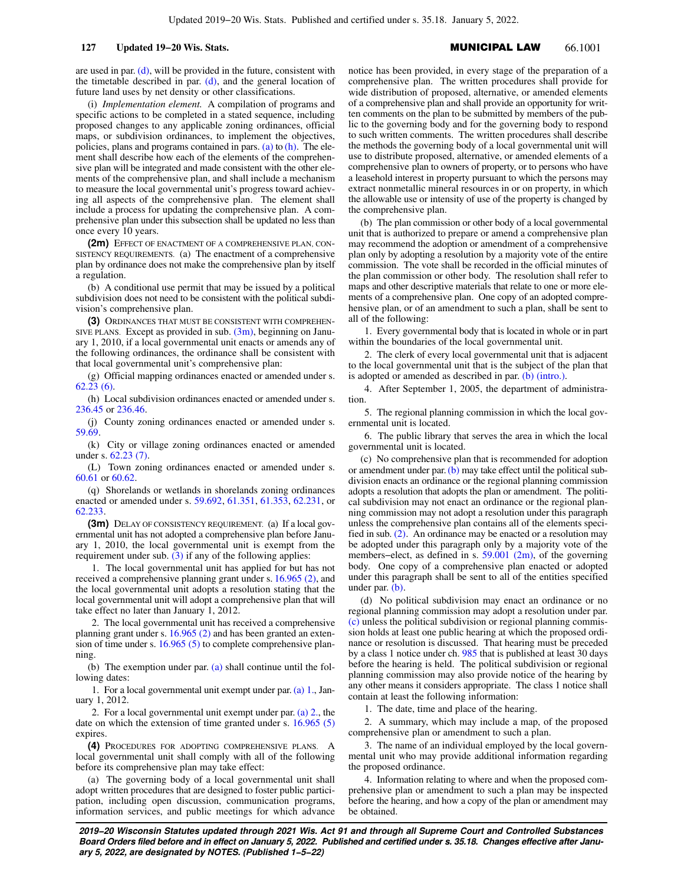are used in par.  $(d)$ , will be provided in the future, consistent with the timetable described in par.  $(d)$ , and the general location of future land uses by net density or other classifications.

(i) *Implementation element.* A compilation of programs and specific actions to be completed in a stated sequence, including proposed changes to any applicable zoning ordinances, official maps, or subdivision ordinances, to implement the objectives, policies, plans and programs contained in pars.  $(a)$  to  $(h)$ . The element shall describe how each of the elements of the comprehensive plan will be integrated and made consistent with the other elements of the comprehensive plan, and shall include a mechanism to measure the local governmental unit's progress toward achieving all aspects of the comprehensive plan. The element shall include a process for updating the comprehensive plan. A comprehensive plan under this subsection shall be updated no less than once every 10 years.

**(2m)** EFFECT OF ENACTMENT OF A COMPREHENSIVE PLAN, CON-SISTENCY REQUIREMENTS. (a) The enactment of a comprehensive plan by ordinance does not make the comprehensive plan by itself a regulation.

(b) A conditional use permit that may be issued by a political subdivision does not need to be consistent with the political subdivision's comprehensive plan.

**(3)** ORDINANCES THAT MUST BE CONSISTENT WITH COMPREHEN-SIVE PLANS. Except as provided in sub.  $(3m)$ , beginning on January 1, 2010, if a local governmental unit enacts or amends any of the following ordinances, the ordinance shall be consistent with that local governmental unit's comprehensive plan:

(g) Official mapping ordinances enacted or amended under s. 62.23 (6).

(h) Local subdivision ordinances enacted or amended under s. 236.45 or 236.46.

(j) County zoning ordinances enacted or amended under s. 59.69.

(k) City or village zoning ordinances enacted or amended under s. 62.23 (7).

(L) Town zoning ordinances enacted or amended under s. 60.61 or 60.62.

(q) Shorelands or wetlands in shorelands zoning ordinances enacted or amended under s. 59.692, 61.351, 61.353, 62.231, or 62.233.

**(3m)** DELAY OF CONSISTENCY REQUIREMENT. (a) If a local governmental unit has not adopted a comprehensive plan before January 1, 2010, the local governmental unit is exempt from the requirement under sub.  $(3)$  if any of the following applies:

1. The local governmental unit has applied for but has not received a comprehensive planning grant under s. 16.965 (2), and the local governmental unit adopts a resolution stating that the local governmental unit will adopt a comprehensive plan that will take effect no later than January 1, 2012.

2. The local governmental unit has received a comprehensive planning grant under s. 16.965 (2) and has been granted an extension of time under s. 16.965 (5) to complete comprehensive planning.

(b) The exemption under par. (a) shall continue until the following dates:

1. For a local governmental unit exempt under par. (a) 1., January 1, 2012.

2. For a local governmental unit exempt under par. (a) 2., the date on which the extension of time granted under s. 16.965 (5) expires.

**(4)** PROCEDURES FOR ADOPTING COMPREHENSIVE PLANS. A local governmental unit shall comply with all of the following before its comprehensive plan may take effect:

(a) The governing body of a local governmental unit shall adopt written procedures that are designed to foster public participation, including open discussion, communication programs, information services, and public meetings for which advance notice has been provided, in every stage of the preparation of a comprehensive plan. The written procedures shall provide for wide distribution of proposed, alternative, or amended elements of a comprehensive plan and shall provide an opportunity for written comments on the plan to be submitted by members of the public to the governing body and for the governing body to respond to such written comments. The written procedures shall describe the methods the governing body of a local governmental unit will use to distribute proposed, alternative, or amended elements of a comprehensive plan to owners of property, or to persons who have a leasehold interest in property pursuant to which the persons may extract nonmetallic mineral resources in or on property, in which the allowable use or intensity of use of the property is changed by the comprehensive plan.

(b) The plan commission or other body of a local governmental unit that is authorized to prepare or amend a comprehensive plan may recommend the adoption or amendment of a comprehensive plan only by adopting a resolution by a majority vote of the entire commission. The vote shall be recorded in the official minutes of the plan commission or other body. The resolution shall refer to maps and other descriptive materials that relate to one or more elements of a comprehensive plan. One copy of an adopted comprehensive plan, or of an amendment to such a plan, shall be sent to all of the following:

1. Every governmental body that is located in whole or in part within the boundaries of the local governmental unit.

2. The clerk of every local governmental unit that is adjacent to the local governmental unit that is the subject of the plan that is adopted or amended as described in par. (b) (intro.).

4. After September 1, 2005, the department of administration.

5. The regional planning commission in which the local governmental unit is located.

6. The public library that serves the area in which the local governmental unit is located.

(c) No comprehensive plan that is recommended for adoption or amendment under par. (b) may take effect until the political subdivision enacts an ordinance or the regional planning commission adopts a resolution that adopts the plan or amendment. The political subdivision may not enact an ordinance or the regional planning commission may not adopt a resolution under this paragraph unless the comprehensive plan contains all of the elements specified in sub. (2). An ordinance may be enacted or a resolution may be adopted under this paragraph only by a majority vote of the members−elect, as defined in s. 59.001 (2m), of the governing body. One copy of a comprehensive plan enacted or adopted under this paragraph shall be sent to all of the entities specified under par. (b).

(d) No political subdivision may enact an ordinance or no regional planning commission may adopt a resolution under par. (c) unless the political subdivision or regional planning commission holds at least one public hearing at which the proposed ordinance or resolution is discussed. That hearing must be preceded by a class 1 notice under ch. 985 that is published at least 30 days before the hearing is held. The political subdivision or regional planning commission may also provide notice of the hearing by any other means it considers appropriate. The class 1 notice shall contain at least the following information:

1. The date, time and place of the hearing.

2. A summary, which may include a map, of the proposed comprehensive plan or amendment to such a plan.

3. The name of an individual employed by the local governmental unit who may provide additional information regarding the proposed ordinance.

4. Information relating to where and when the proposed comprehensive plan or amendment to such a plan may be inspected before the hearing, and how a copy of the plan or amendment may be obtained.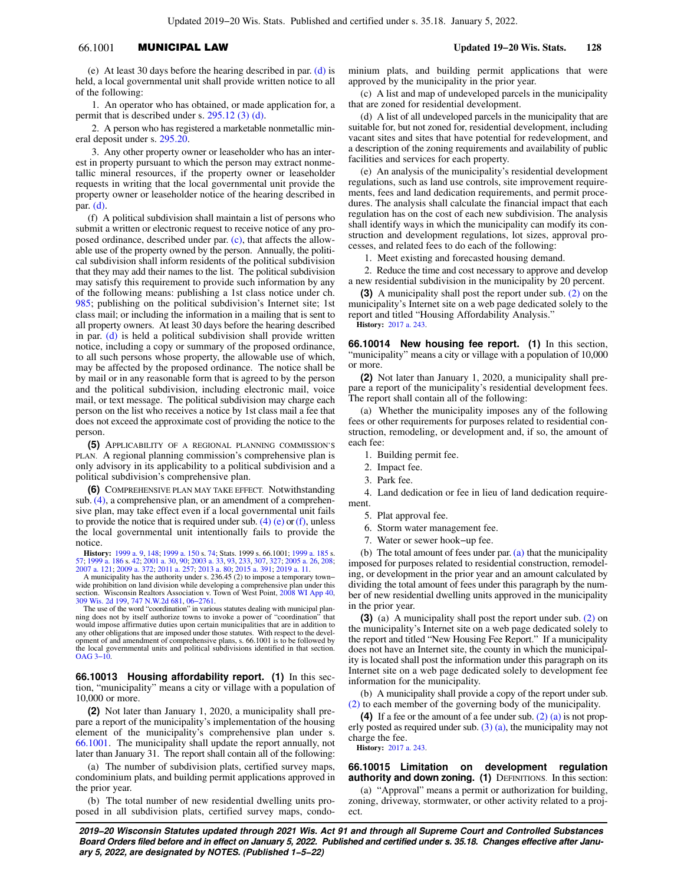# 66.1001 MUNICIPAL LAW **Updated 19−20 Wis. Stats. 128**

(e) At least 30 days before the hearing described in par. (d) is held, a local governmental unit shall provide written notice to all of the following:

1. An operator who has obtained, or made application for, a permit that is described under s. 295.12 (3) (d).

2. A person who has registered a marketable nonmetallic mineral deposit under s. 295.20.

3. Any other property owner or leaseholder who has an interest in property pursuant to which the person may extract nonmetallic mineral resources, if the property owner or leaseholder requests in writing that the local governmental unit provide the property owner or leaseholder notice of the hearing described in par. (d).

(f) A political subdivision shall maintain a list of persons who submit a written or electronic request to receive notice of any proposed ordinance, described under par. (c), that affects the allowable use of the property owned by the person. Annually, the political subdivision shall inform residents of the political subdivision that they may add their names to the list. The political subdivision may satisfy this requirement to provide such information by any of the following means: publishing a 1st class notice under ch. 985; publishing on the political subdivision's Internet site; 1st class mail; or including the information in a mailing that is sent to all property owners. At least 30 days before the hearing described in par. (d) is held a political subdivision shall provide written notice, including a copy or summary of the proposed ordinance, to all such persons whose property, the allowable use of which, may be affected by the proposed ordinance. The notice shall be by mail or in any reasonable form that is agreed to by the person and the political subdivision, including electronic mail, voice mail, or text message. The political subdivision may charge each person on the list who receives a notice by 1st class mail a fee that does not exceed the approximate cost of providing the notice to the person.

**(5)** APPLICABILITY OF A REGIONAL PLANNING COMMISSION'S PLAN. A regional planning commission's comprehensive plan is only advisory in its applicability to a political subdivision and a political subdivision's comprehensive plan.

**(6)** COMPREHENSIVE PLAN MAY TAKE EFFECT. Notwithstanding sub. (4), a comprehensive plan, or an amendment of a comprehensive plan, may take effect even if a local governmental unit fails to provide the notice that is required under sub.  $(4)$  (e) or (f), unless the local governmental unit intentionally fails to provide the notice.

**History:** 1999 a. 9, 148; 1999 a. 150 s. 74; Stats. 1999 s. 66.1001; 1999 a. 185 s. 57; 1999 a. 186 s. 42; 2001 a. 30, 90; 2003 a. 33, 93, 233, 307, 327; 2005 a. 26, 208; 2007 a. 121; 2009 a. 372; 2011 a. 257; 2013 a. 80; 2015 a. 391; 2019 a. 11.

A municipality has the authority under s. 236.45 (2) to impose a temporary town− wide prohibition on land division while developing a comprehensive plan under this section. Wisconsin Realtors Association v. Town of West Point, 2008 WI App 40, 309 Wis. 2d 199, 747 N.W.2d 681, 06−2761.

The use of the word "coordination" in various statutes dealing with municipal plan-ning does not by itself authorize towns to invoke a power of "coordination" that would impose affirmative duties upon certain municipalities that are in addition to any other obligations that are imposed under those statutes. With respect to the development of and amendment of comprehensive plans, s. 66.1001 is to be followed by the local governmental units and political subdivisions identified in that section. OAG 3−10.

**66.10013 Housing affordability report. (1)** In this section, "municipality" means a city or village with a population of 10,000 or more.

**(2)** Not later than January 1, 2020, a municipality shall prepare a report of the municipality's implementation of the housing element of the municipality's comprehensive plan under s. 66.1001. The municipality shall update the report annually, not later than January 31. The report shall contain all of the following:

(a) The number of subdivision plats, certified survey maps, condominium plats, and building permit applications approved in the prior year.

(b) The total number of new residential dwelling units proposed in all subdivision plats, certified survey maps, condominium plats, and building permit applications that were approved by the municipality in the prior year.

(c) A list and map of undeveloped parcels in the municipality that are zoned for residential development.

(d) A list of all undeveloped parcels in the municipality that are suitable for, but not zoned for, residential development, including vacant sites and sites that have potential for redevelopment, and a description of the zoning requirements and availability of public facilities and services for each property.

(e) An analysis of the municipality's residential development regulations, such as land use controls, site improvement requirements, fees and land dedication requirements, and permit procedures. The analysis shall calculate the financial impact that each regulation has on the cost of each new subdivision. The analysis shall identify ways in which the municipality can modify its construction and development regulations, lot sizes, approval processes, and related fees to do each of the following:

1. Meet existing and forecasted housing demand.

2. Reduce the time and cost necessary to approve and develop a new residential subdivision in the municipality by 20 percent.

**(3)** A municipality shall post the report under sub. (2) on the municipality's Internet site on a web page dedicated solely to the report and titled "Housing Affordability Analysis." **History:** 2017 a. 243.

**66.10014 New housing fee report. (1)** In this section, "municipality" means a city or village with a population of 10,000 or more.

**(2)** Not later than January 1, 2020, a municipality shall prepare a report of the municipality's residential development fees. The report shall contain all of the following:

(a) Whether the municipality imposes any of the following fees or other requirements for purposes related to residential construction, remodeling, or development and, if so, the amount of each fee:

1. Building permit fee.

- 2. Impact fee.
- 3. Park fee.

4. Land dedication or fee in lieu of land dedication requirement.

- 5. Plat approval fee.
- 6. Storm water management fee.
- 7. Water or sewer hook−up fee.

(b) The total amount of fees under par.  $(a)$  that the municipality imposed for purposes related to residential construction, remodeling, or development in the prior year and an amount calculated by dividing the total amount of fees under this paragraph by the number of new residential dwelling units approved in the municipality in the prior year.

**(3)** (a) A municipality shall post the report under sub. (2) on the municipality's Internet site on a web page dedicated solely to the report and titled "New Housing Fee Report." If a municipality does not have an Internet site, the county in which the municipality is located shall post the information under this paragraph on its Internet site on a web page dedicated solely to development fee information for the municipality.

(b) A municipality shall provide a copy of the report under sub. (2) to each member of the governing body of the municipality.

**(4)** If a fee or the amount of a fee under sub. (2) (a) is not properly posted as required under sub.  $(3)$  (a), the municipality may not charge the fee. **History:** 2017 a. 243.

**66.10015 Limitation on development regulation authority and down zoning. (1)** DEFINITIONS. In this section:

(a) "Approval" means a permit or authorization for building, zoning, driveway, stormwater, or other activity related to a project.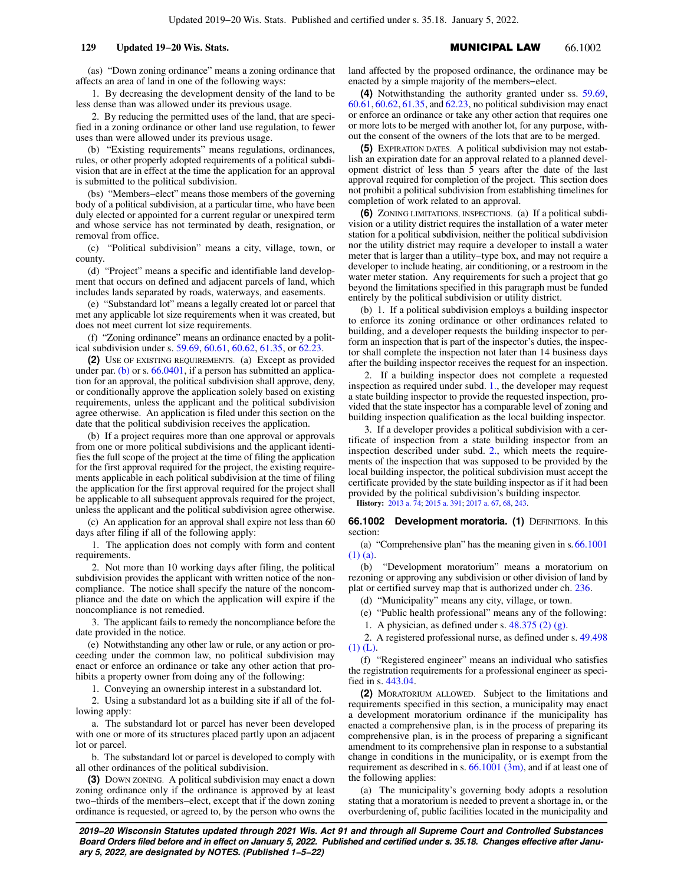(as) "Down zoning ordinance" means a zoning ordinance that affects an area of land in one of the following ways:

1. By decreasing the development density of the land to be less dense than was allowed under its previous usage.

2. By reducing the permitted uses of the land, that are specified in a zoning ordinance or other land use regulation, to fewer uses than were allowed under its previous usage.

(b) "Existing requirements" means regulations, ordinances, rules, or other properly adopted requirements of a political subdivision that are in effect at the time the application for an approval is submitted to the political subdivision.

(bs) "Members−elect" means those members of the governing body of a political subdivision, at a particular time, who have been duly elected or appointed for a current regular or unexpired term and whose service has not terminated by death, resignation, or removal from office.

(c) "Political subdivision" means a city, village, town, or county.

(d) "Project" means a specific and identifiable land development that occurs on defined and adjacent parcels of land, which includes lands separated by roads, waterways, and easements.

(e) "Substandard lot" means a legally created lot or parcel that met any applicable lot size requirements when it was created, but does not meet current lot size requirements.

(f) "Zoning ordinance" means an ordinance enacted by a political subdivision under s. 59.69, 60.61, 60.62, 61.35, or 62.23.

**(2)** USE OF EXISTING REQUIREMENTS. (a) Except as provided under par. (b) or s.  $66.0401$ , if a person has submitted an application for an approval, the political subdivision shall approve, deny, or conditionally approve the application solely based on existing requirements, unless the applicant and the political subdivision agree otherwise. An application is filed under this section on the date that the political subdivision receives the application.

(b) If a project requires more than one approval or approvals from one or more political subdivisions and the applicant identifies the full scope of the project at the time of filing the application for the first approval required for the project, the existing requirements applicable in each political subdivision at the time of filing the application for the first approval required for the project shall be applicable to all subsequent approvals required for the project, unless the applicant and the political subdivision agree otherwise.

(c) An application for an approval shall expire not less than 60 days after filing if all of the following apply:

1. The application does not comply with form and content requirements.

2. Not more than 10 working days after filing, the political subdivision provides the applicant with written notice of the noncompliance. The notice shall specify the nature of the noncompliance and the date on which the application will expire if the noncompliance is not remedied.

3. The applicant fails to remedy the noncompliance before the date provided in the notice.

(e) Notwithstanding any other law or rule, or any action or proceeding under the common law, no political subdivision may enact or enforce an ordinance or take any other action that prohibits a property owner from doing any of the following:

1. Conveying an ownership interest in a substandard lot.

2. Using a substandard lot as a building site if all of the following apply:

a. The substandard lot or parcel has never been developed with one or more of its structures placed partly upon an adjacent lot or parcel.

b. The substandard lot or parcel is developed to comply with all other ordinances of the political subdivision.

**(3)** DOWN ZONING. A political subdivision may enact a down zoning ordinance only if the ordinance is approved by at least two−thirds of the members−elect, except that if the down zoning ordinance is requested, or agreed to, by the person who owns the land affected by the proposed ordinance, the ordinance may be enacted by a simple majority of the members−elect.

**(4)** Notwithstanding the authority granted under ss. 59.69, 60.61, 60.62, 61.35, and 62.23, no political subdivision may enact or enforce an ordinance or take any other action that requires one or more lots to be merged with another lot, for any purpose, without the consent of the owners of the lots that are to be merged.

**(5)** EXPIRATION DATES. A political subdivision may not establish an expiration date for an approval related to a planned development district of less than 5 years after the date of the last approval required for completion of the project. This section does not prohibit a political subdivision from establishing timelines for completion of work related to an approval.

**(6)** ZONING LIMITATIONS, INSPECTIONS. (a) If a political subdivision or a utility district requires the installation of a water meter station for a political subdivision, neither the political subdivision nor the utility district may require a developer to install a water meter that is larger than a utility−type box, and may not require a developer to include heating, air conditioning, or a restroom in the water meter station. Any requirements for such a project that go beyond the limitations specified in this paragraph must be funded entirely by the political subdivision or utility district.

(b) 1. If a political subdivision employs a building inspector to enforce its zoning ordinance or other ordinances related to building, and a developer requests the building inspector to perform an inspection that is part of the inspector's duties, the inspector shall complete the inspection not later than 14 business days after the building inspector receives the request for an inspection.

2. If a building inspector does not complete a requested inspection as required under subd. 1., the developer may request a state building inspector to provide the requested inspection, provided that the state inspector has a comparable level of zoning and building inspection qualification as the local building inspector.

3. If a developer provides a political subdivision with a certificate of inspection from a state building inspector from an inspection described under subd. 2., which meets the requirements of the inspection that was supposed to be provided by the local building inspector, the political subdivision must accept the certificate provided by the state building inspector as if it had been provided by the political subdivision's building inspector.

**History:** 2013 a. 74; 2015 a. 391; 2017 a. 67, 68, 243.

**66.1002 Development moratoria. (1) DEFINITIONS. In this** section:

(a) "Comprehensive plan" has the meaning given in s. 66.1001 (1) (a).

(b) "Development moratorium" means a moratorium on rezoning or approving any subdivision or other division of land by plat or certified survey map that is authorized under ch. 236.

(d) "Municipality" means any city, village, or town.

(e) "Public health professional" means any of the following:

1. A physician, as defined under s. 48.375 (2) (g).

2. A registered professional nurse, as defined under s. 49.498 (1) (L).

(f) "Registered engineer" means an individual who satisfies the registration requirements for a professional engineer as specified in s. 443.04.

**(2)** MORATORIUM ALLOWED. Subject to the limitations and requirements specified in this section, a municipality may enact a development moratorium ordinance if the municipality has enacted a comprehensive plan, is in the process of preparing its comprehensive plan, is in the process of preparing a significant amendment to its comprehensive plan in response to a substantial change in conditions in the municipality, or is exempt from the requirement as described in s.  $66.1001$  (3m), and if at least one of the following applies:

(a) The municipality's governing body adopts a resolution stating that a moratorium is needed to prevent a shortage in, or the overburdening of, public facilities located in the municipality and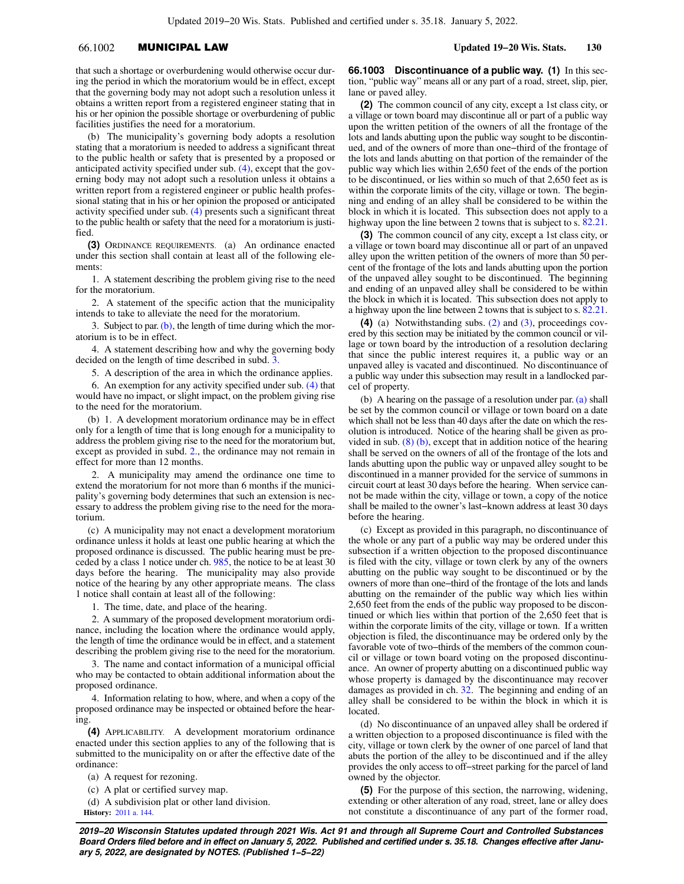# 66.1002 MUNICIPAL LAW **Updated 19−20 Wis. Stats. 130**

that such a shortage or overburdening would otherwise occur during the period in which the moratorium would be in effect, except that the governing body may not adopt such a resolution unless it obtains a written report from a registered engineer stating that in his or her opinion the possible shortage or overburdening of public facilities justifies the need for a moratorium.

(b) The municipality's governing body adopts a resolution stating that a moratorium is needed to address a significant threat to the public health or safety that is presented by a proposed or anticipated activity specified under sub. (4), except that the governing body may not adopt such a resolution unless it obtains a written report from a registered engineer or public health professional stating that in his or her opinion the proposed or anticipated activity specified under sub. (4) presents such a significant threat to the public health or safety that the need for a moratorium is justified.

**(3)** ORDINANCE REQUIREMENTS. (a) An ordinance enacted under this section shall contain at least all of the following elements:

1. A statement describing the problem giving rise to the need for the moratorium.

2. A statement of the specific action that the municipality intends to take to alleviate the need for the moratorium.

3. Subject to par.  $(b)$ , the length of time during which the moratorium is to be in effect.

4. A statement describing how and why the governing body decided on the length of time described in subd. 3.

5. A description of the area in which the ordinance applies.

6. An exemption for any activity specified under sub. (4) that would have no impact, or slight impact, on the problem giving rise to the need for the moratorium.

(b) 1. A development moratorium ordinance may be in effect only for a length of time that is long enough for a municipality to address the problem giving rise to the need for the moratorium but, except as provided in subd. 2., the ordinance may not remain in effect for more than 12 months.

2. A municipality may amend the ordinance one time to extend the moratorium for not more than 6 months if the municipality's governing body determines that such an extension is necessary to address the problem giving rise to the need for the moratorium.

(c) A municipality may not enact a development moratorium ordinance unless it holds at least one public hearing at which the proposed ordinance is discussed. The public hearing must be preceded by a class 1 notice under ch. 985, the notice to be at least 30 days before the hearing. The municipality may also provide notice of the hearing by any other appropriate means. The class 1 notice shall contain at least all of the following:

1. The time, date, and place of the hearing.

2. A summary of the proposed development moratorium ordinance, including the location where the ordinance would apply, the length of time the ordinance would be in effect, and a statement describing the problem giving rise to the need for the moratorium.

3. The name and contact information of a municipal official who may be contacted to obtain additional information about the proposed ordinance.

4. Information relating to how, where, and when a copy of the proposed ordinance may be inspected or obtained before the hearing.

**(4)** APPLICABILITY. A development moratorium ordinance enacted under this section applies to any of the following that is submitted to the municipality on or after the effective date of the ordinance:

(a) A request for rezoning.

(c) A plat or certified survey map.

(d) A subdivision plat or other land division. **History:** 2011 a. 144.

**66.1003 Discontinuance of a public way. (1)** In this section, "public way" means all or any part of a road, street, slip, pier, lane or paved alley.

**(2)** The common council of any city, except a 1st class city, or a village or town board may discontinue all or part of a public way upon the written petition of the owners of all the frontage of the lots and lands abutting upon the public way sought to be discontinued, and of the owners of more than one−third of the frontage of the lots and lands abutting on that portion of the remainder of the public way which lies within 2,650 feet of the ends of the portion to be discontinued, or lies within so much of that 2,650 feet as is within the corporate limits of the city, village or town. The beginning and ending of an alley shall be considered to be within the block in which it is located. This subsection does not apply to a highway upon the line between 2 towns that is subject to s. 82.21.

**(3)** The common council of any city, except a 1st class city, or a village or town board may discontinue all or part of an unpaved alley upon the written petition of the owners of more than 50 percent of the frontage of the lots and lands abutting upon the portion of the unpaved alley sought to be discontinued. The beginning and ending of an unpaved alley shall be considered to be within the block in which it is located. This subsection does not apply to a highway upon the line between 2 towns that is subject to s. 82.21.

**(4)** (a) Notwithstanding subs. (2) and (3), proceedings covered by this section may be initiated by the common council or village or town board by the introduction of a resolution declaring that since the public interest requires it, a public way or an unpaved alley is vacated and discontinued. No discontinuance of a public way under this subsection may result in a landlocked parcel of property.

(b) A hearing on the passage of a resolution under par. (a) shall be set by the common council or village or town board on a date which shall not be less than 40 days after the date on which the resolution is introduced. Notice of the hearing shall be given as provided in sub.  $(8)$  (b), except that in addition notice of the hearing shall be served on the owners of all of the frontage of the lots and lands abutting upon the public way or unpaved alley sought to be discontinued in a manner provided for the service of summons in circuit court at least 30 days before the hearing. When service cannot be made within the city, village or town, a copy of the notice shall be mailed to the owner's last−known address at least 30 days before the hearing.

(c) Except as provided in this paragraph, no discontinuance of the whole or any part of a public way may be ordered under this subsection if a written objection to the proposed discontinuance is filed with the city, village or town clerk by any of the owners abutting on the public way sought to be discontinued or by the owners of more than one−third of the frontage of the lots and lands abutting on the remainder of the public way which lies within 2,650 feet from the ends of the public way proposed to be discontinued or which lies within that portion of the 2,650 feet that is within the corporate limits of the city, village or town. If a written objection is filed, the discontinuance may be ordered only by the favorable vote of two−thirds of the members of the common council or village or town board voting on the proposed discontinuance. An owner of property abutting on a discontinued public way whose property is damaged by the discontinuance may recover damages as provided in ch. 32. The beginning and ending of an alley shall be considered to be within the block in which it is located.

(d) No discontinuance of an unpaved alley shall be ordered if a written objection to a proposed discontinuance is filed with the city, village or town clerk by the owner of one parcel of land that abuts the portion of the alley to be discontinued and if the alley provides the only access to off−street parking for the parcel of land owned by the objector.

**(5)** For the purpose of this section, the narrowing, widening, extending or other alteration of any road, street, lane or alley does not constitute a discontinuance of any part of the former road,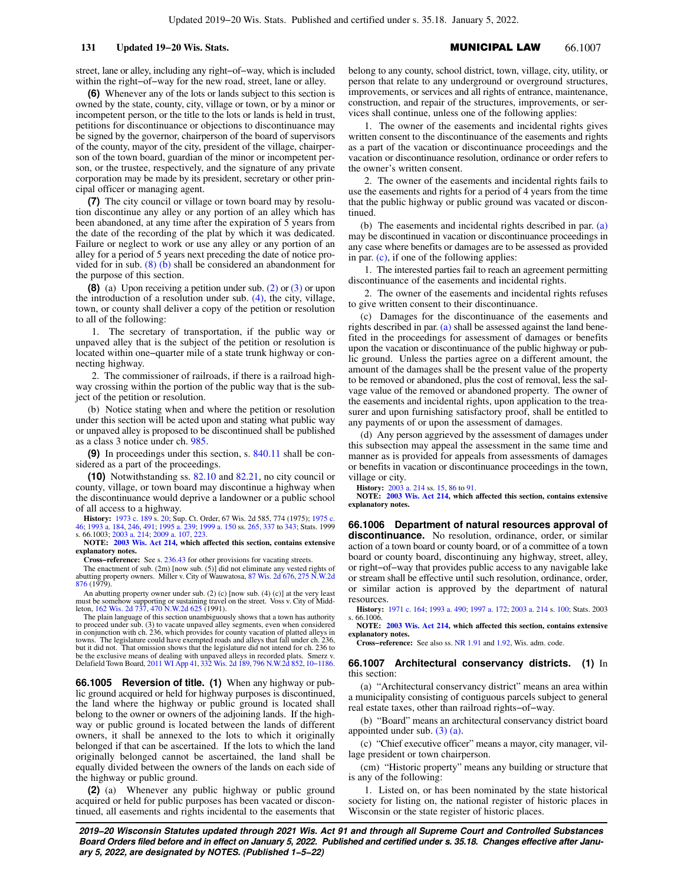street, lane or alley, including any right−of−way, which is included within the right−of−way for the new road, street, lane or alley.

**(6)** Whenever any of the lots or lands subject to this section is owned by the state, county, city, village or town, or by a minor or incompetent person, or the title to the lots or lands is held in trust, petitions for discontinuance or objections to discontinuance may be signed by the governor, chairperson of the board of supervisors of the county, mayor of the city, president of the village, chairperson of the town board, guardian of the minor or incompetent person, or the trustee, respectively, and the signature of any private corporation may be made by its president, secretary or other principal officer or managing agent.

**(7)** The city council or village or town board may by resolution discontinue any alley or any portion of an alley which has been abandoned, at any time after the expiration of 5 years from the date of the recording of the plat by which it was dedicated. Failure or neglect to work or use any alley or any portion of an alley for a period of 5 years next preceding the date of notice provided for in sub. (8) (b) shall be considered an abandonment for the purpose of this section.

**(8)** (a) Upon receiving a petition under sub. (2) or (3) or upon the introduction of a resolution under sub. (4), the city, village, town, or county shall deliver a copy of the petition or resolution to all of the following:

1. The secretary of transportation, if the public way or unpaved alley that is the subject of the petition or resolution is located within one−quarter mile of a state trunk highway or connecting highway.

2. The commissioner of railroads, if there is a railroad highway crossing within the portion of the public way that is the subject of the petition or resolution.

(b) Notice stating when and where the petition or resolution under this section will be acted upon and stating what public way or unpaved alley is proposed to be discontinued shall be published as a class 3 notice under ch. 985.

**(9)** In proceedings under this section, s. 840.11 shall be considered as a part of the proceedings.

**(10)** Notwithstanding ss. 82.10 and 82.21, no city council or county, village, or town board may discontinue a highway when the discontinuance would deprive a landowner or a public school of all access to a highway.

**History:** 1973 c. 189 s. 20; Sup. Ct. Order, 67 Wis. 2d 585, 774 (1975); 1975 c. 46; 1993 a. 184, 246, 491; 1995 a. 239; 1999 a. 150 ss. 265, 337 to 343; Stats. 1999 s. 66.1003; 2003 a. 214; 2009 a. 107, 223.

**NOTE: 2003 Wis. Act 214, which affected this section, contains extensive explanatory notes.**

**Cross−reference:** See s. 236.43 for other provisions for vacating streets.

The enactment of sub. (2m) [now sub. (5)] did not eliminate any vested rights of abutting property owners. Miller v. City of Wauwatosa, 87 Wis. 2d 676, 275 N.W.2d 876 (1979).

An abutting property owner under sub. (2) (c) [now sub. (4) (c)] at the very least must be somehow supporting or sustaining travel on the street. Voss v. City of Middleton, 162 Wis. 2d 737, 470 N.W.2d 625 (1991).

The plain language of this section unambiguously shows that a town has authority to proceed under sub. (3) to vacate unpaved alley segments, even when considered in conjunction with ch. 236, which provides for county vacation of platted alleys in<br>towns. The legislature could have exempted roads and alleys that fall under ch. 236,<br>but it did not. That omission shows that the legisla be the exclusive means of dealing with unpaved alleys in recorded plats. Smerz v. Delafield Town Board, 2011 WI App 41, 332 Wis. 2d 189, 796 N.W.2d 852, 10−1186.

**66.1005 Reversion of title. (1)** When any highway or public ground acquired or held for highway purposes is discontinued, the land where the highway or public ground is located shall belong to the owner or owners of the adjoining lands. If the highway or public ground is located between the lands of different owners, it shall be annexed to the lots to which it originally belonged if that can be ascertained. If the lots to which the land originally belonged cannot be ascertained, the land shall be equally divided between the owners of the lands on each side of the highway or public ground.

**(2)** (a) Whenever any public highway or public ground acquired or held for public purposes has been vacated or discontinued, all easements and rights incidental to the easements that belong to any county, school district, town, village, city, utility, or person that relate to any underground or overground structures, improvements, or services and all rights of entrance, maintenance, construction, and repair of the structures, improvements, or services shall continue, unless one of the following applies:

1. The owner of the easements and incidental rights gives written consent to the discontinuance of the easements and rights as a part of the vacation or discontinuance proceedings and the vacation or discontinuance resolution, ordinance or order refers to the owner's written consent.

2. The owner of the easements and incidental rights fails to use the easements and rights for a period of 4 years from the time that the public highway or public ground was vacated or discontinued.

(b) The easements and incidental rights described in par. (a) may be discontinued in vacation or discontinuance proceedings in any case where benefits or damages are to be assessed as provided in par. (c), if one of the following applies:

1. The interested parties fail to reach an agreement permitting discontinuance of the easements and incidental rights.

2. The owner of the easements and incidental rights refuses to give written consent to their discontinuance.

(c) Damages for the discontinuance of the easements and rights described in par. (a) shall be assessed against the land benefited in the proceedings for assessment of damages or benefits upon the vacation or discontinuance of the public highway or public ground. Unless the parties agree on a different amount, the amount of the damages shall be the present value of the property to be removed or abandoned, plus the cost of removal, less the salvage value of the removed or abandoned property. The owner of the easements and incidental rights, upon application to the treasurer and upon furnishing satisfactory proof, shall be entitled to any payments of or upon the assessment of damages.

(d) Any person aggrieved by the assessment of damages under this subsection may appeal the assessment in the same time and manner as is provided for appeals from assessments of damages or benefits in vacation or discontinuance proceedings in the town, village or city.

**History:** 2003 a. 214 ss. 15, 86 to 91.

**NOTE: 2003 Wis. Act 214, which affected this section, contains extensive explanatory notes.**

**66.1006 Department of natural resources approval of discontinuance.** No resolution, ordinance, order, or similar action of a town board or county board, or of a committee of a town board or county board, discontinuing any highway, street, alley, or right−of−way that provides public access to any navigable lake or stream shall be effective until such resolution, ordinance, order, or similar action is approved by the department of natural resources.

**History:** 1971 c. 164; 1993 a. 490; 1997 a. 172; 2003 a. 214 s. 100; Stats. 2003  $.66.1006$ .

**NOTE: 2003 Wis. Act 214, which affected this section, contains extensive explanatory notes.**

**Cross−reference:** See also ss. NR 1.91 and 1.92, Wis. adm. code.

### **66.1007 Architectural conservancy districts. (1)** In this section:

(a) "Architectural conservancy district" means an area within a municipality consisting of contiguous parcels subject to general real estate taxes, other than railroad rights−of−way.

(b) "Board" means an architectural conservancy district board appointed under sub. (3) (a).

(c) "Chief executive officer" means a mayor, city manager, village president or town chairperson.

(cm) "Historic property" means any building or structure that is any of the following:

1. Listed on, or has been nominated by the state historical society for listing on, the national register of historic places in Wisconsin or the state register of historic places.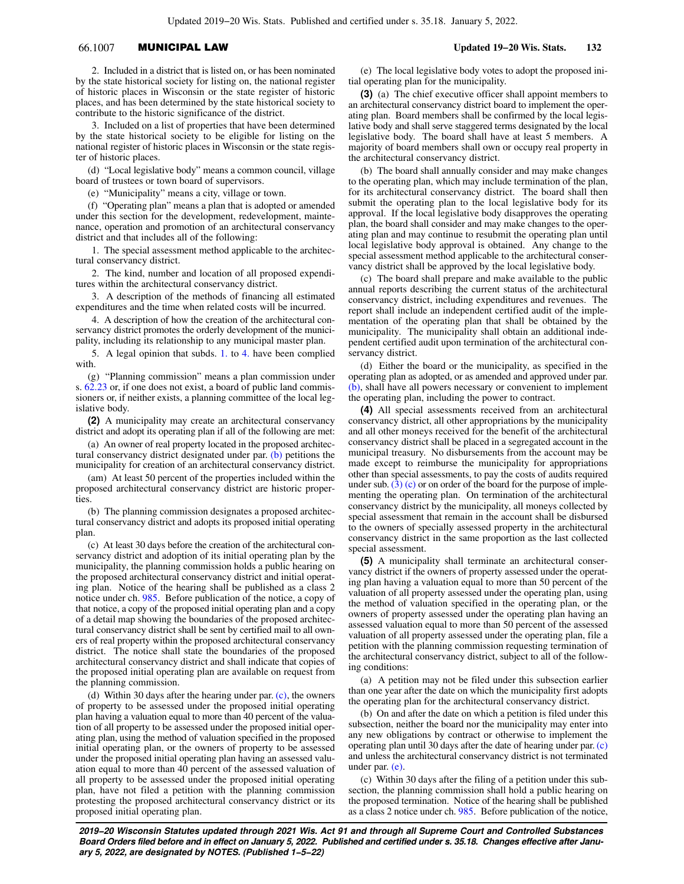# 66.1007 MUNICIPAL LAW **Updated 19−20 Wis. Stats. 132**

2. Included in a district that is listed on, or has been nominated by the state historical society for listing on, the national register of historic places in Wisconsin or the state register of historic places, and has been determined by the state historical society to contribute to the historic significance of the district.

3. Included on a list of properties that have been determined by the state historical society to be eligible for listing on the national register of historic places in Wisconsin or the state register of historic places.

(d) "Local legislative body" means a common council, village board of trustees or town board of supervisors.

(e) "Municipality" means a city, village or town.

(f) "Operating plan" means a plan that is adopted or amended under this section for the development, redevelopment, maintenance, operation and promotion of an architectural conservancy district and that includes all of the following:

1. The special assessment method applicable to the architectural conservancy district.

2. The kind, number and location of all proposed expenditures within the architectural conservancy district.

3. A description of the methods of financing all estimated expenditures and the time when related costs will be incurred.

4. A description of how the creation of the architectural conservancy district promotes the orderly development of the municipality, including its relationship to any municipal master plan.

5. A legal opinion that subds. 1. to 4. have been complied with.

(g) "Planning commission" means a plan commission under s. 62.23 or, if one does not exist, a board of public land commissioners or, if neither exists, a planning committee of the local legislative body.

**(2)** A municipality may create an architectural conservancy district and adopt its operating plan if all of the following are met:

(a) An owner of real property located in the proposed architectural conservancy district designated under par. (b) petitions the municipality for creation of an architectural conservancy district.

(am) At least 50 percent of the properties included within the proposed architectural conservancy district are historic properties.

(b) The planning commission designates a proposed architectural conservancy district and adopts its proposed initial operating plan.

(c) At least 30 days before the creation of the architectural conservancy district and adoption of its initial operating plan by the municipality, the planning commission holds a public hearing on the proposed architectural conservancy district and initial operating plan. Notice of the hearing shall be published as a class 2 notice under ch. 985. Before publication of the notice, a copy of that notice, a copy of the proposed initial operating plan and a copy of a detail map showing the boundaries of the proposed architectural conservancy district shall be sent by certified mail to all owners of real property within the proposed architectural conservancy district. The notice shall state the boundaries of the proposed architectural conservancy district and shall indicate that copies of the proposed initial operating plan are available on request from the planning commission.

(d) Within 30 days after the hearing under par. (c), the owners of property to be assessed under the proposed initial operating plan having a valuation equal to more than 40 percent of the valuation of all property to be assessed under the proposed initial operating plan, using the method of valuation specified in the proposed initial operating plan, or the owners of property to be assessed under the proposed initial operating plan having an assessed valuation equal to more than 40 percent of the assessed valuation of all property to be assessed under the proposed initial operating plan, have not filed a petition with the planning commission protesting the proposed architectural conservancy district or its proposed initial operating plan.

(e) The local legislative body votes to adopt the proposed initial operating plan for the municipality.

**(3)** (a) The chief executive officer shall appoint members to an architectural conservancy district board to implement the operating plan. Board members shall be confirmed by the local legislative body and shall serve staggered terms designated by the local legislative body. The board shall have at least 5 members. A majority of board members shall own or occupy real property in the architectural conservancy district.

(b) The board shall annually consider and may make changes to the operating plan, which may include termination of the plan, for its architectural conservancy district. The board shall then submit the operating plan to the local legislative body for its approval. If the local legislative body disapproves the operating plan, the board shall consider and may make changes to the operating plan and may continue to resubmit the operating plan until local legislative body approval is obtained. Any change to the special assessment method applicable to the architectural conservancy district shall be approved by the local legislative body.

(c) The board shall prepare and make available to the public annual reports describing the current status of the architectural conservancy district, including expenditures and revenues. The report shall include an independent certified audit of the implementation of the operating plan that shall be obtained by the municipality. The municipality shall obtain an additional independent certified audit upon termination of the architectural conservancy district.

(d) Either the board or the municipality, as specified in the operating plan as adopted, or as amended and approved under par. (b), shall have all powers necessary or convenient to implement the operating plan, including the power to contract.

**(4)** All special assessments received from an architectural conservancy district, all other appropriations by the municipality and all other moneys received for the benefit of the architectural conservancy district shall be placed in a segregated account in the municipal treasury. No disbursements from the account may be made except to reimburse the municipality for appropriations other than special assessments, to pay the costs of audits required under sub.  $(3)$  (c) or on order of the board for the purpose of implementing the operating plan. On termination of the architectural conservancy district by the municipality, all moneys collected by special assessment that remain in the account shall be disbursed to the owners of specially assessed property in the architectural conservancy district in the same proportion as the last collected special assessment.

**(5)** A municipality shall terminate an architectural conservancy district if the owners of property assessed under the operating plan having a valuation equal to more than 50 percent of the valuation of all property assessed under the operating plan, using the method of valuation specified in the operating plan, or the owners of property assessed under the operating plan having an assessed valuation equal to more than 50 percent of the assessed valuation of all property assessed under the operating plan, file a petition with the planning commission requesting termination of the architectural conservancy district, subject to all of the following conditions:

(a) A petition may not be filed under this subsection earlier than one year after the date on which the municipality first adopts the operating plan for the architectural conservancy district.

(b) On and after the date on which a petition is filed under this subsection, neither the board nor the municipality may enter into any new obligations by contract or otherwise to implement the operating plan until 30 days after the date of hearing under par. (c) and unless the architectural conservancy district is not terminated under par. (e).

(c) Within 30 days after the filing of a petition under this subsection, the planning commission shall hold a public hearing on the proposed termination. Notice of the hearing shall be published as a class 2 notice under ch. 985. Before publication of the notice,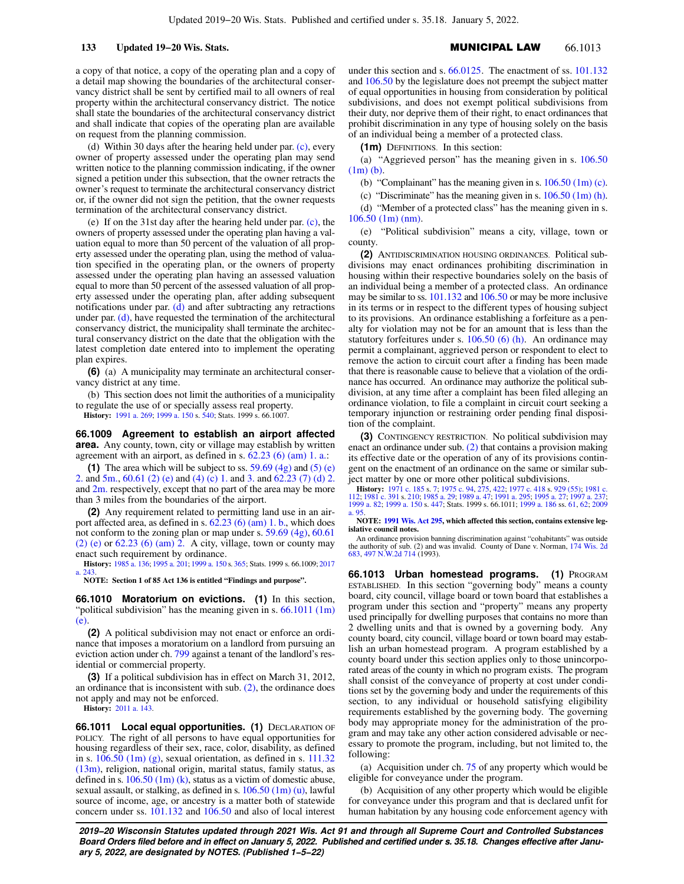a copy of that notice, a copy of the operating plan and a copy of a detail map showing the boundaries of the architectural conservancy district shall be sent by certified mail to all owners of real property within the architectural conservancy district. The notice shall state the boundaries of the architectural conservancy district and shall indicate that copies of the operating plan are available on request from the planning commission.

(d) Within 30 days after the hearing held under par. (c), every owner of property assessed under the operating plan may send written notice to the planning commission indicating, if the owner signed a petition under this subsection, that the owner retracts the owner's request to terminate the architectural conservancy district or, if the owner did not sign the petition, that the owner requests termination of the architectural conservancy district.

(e) If on the 31st day after the hearing held under par. (c), the owners of property assessed under the operating plan having a valuation equal to more than 50 percent of the valuation of all property assessed under the operating plan, using the method of valuation specified in the operating plan, or the owners of property assessed under the operating plan having an assessed valuation equal to more than 50 percent of the assessed valuation of all property assessed under the operating plan, after adding subsequent notifications under par. (d) and after subtracting any retractions under par. (d), have requested the termination of the architectural conservancy district, the municipality shall terminate the architectural conservancy district on the date that the obligation with the latest completion date entered into to implement the operating plan expires.

**(6)** (a) A municipality may terminate an architectural conservancy district at any time.

(b) This section does not limit the authorities of a municipality to regulate the use of or specially assess real property.

**History:** 1991 a. 269; 1999 a. 150 s. 540; Stats. 1999 s. 66.1007.

**66.1009 Agreement to establish an airport affected area.** Any county, town, city or village may establish by written agreement with an airport, as defined in s. 62.23 (6) (am) 1. a.:

**(1)** The area which will be subject to ss.  $59.69$  (4g) and (5) (e) 2. and 5m., 60.61 (2) (e) and (4) (c) 1. and 3. and 62.23 (7) (d) 2. and 2m. respectively, except that no part of the area may be more than 3 miles from the boundaries of the airport.

**(2)** Any requirement related to permitting land use in an airport affected area, as defined in s.  $62.23$  (6) (am) 1. b., which does not conform to the zoning plan or map under s. 59.69 (4g), 60.61 (2) (e) or 62.23 (6) (am) 2. A city, village, town or county may enact such requirement by ordinance.

**History:** 1985 a. 136; 1995 a. 201; 1999 a. 150 s. 365; Stats. 1999 s. 66.1009; 2017 a. 243.

**NOTE: Section 1 of 85 Act 136 is entitled "Findings and purpose".**

**66.1010 Moratorium on evictions. (1)** In this section, "political subdivision" has the meaning given in s. 66.1011 (1m) (e).

**(2)** A political subdivision may not enact or enforce an ordinance that imposes a moratorium on a landlord from pursuing an eviction action under ch. 799 against a tenant of the landlord's residential or commercial property.

**(3)** If a political subdivision has in effect on March 31, 2012, an ordinance that is inconsistent with sub. (2), the ordinance does not apply and may not be enforced.

**History:** 2011 a. 143.

**66.1011 Local equal opportunities. (1) DECLARATION OF** POLICY. The right of all persons to have equal opportunities for housing regardless of their sex, race, color, disability, as defined in s.  $106.50$  (1m) (g), sexual orientation, as defined in s.  $111.32$ (13m), religion, national origin, marital status, family status, as defined in s.  $106.50$  (1m) (k), status as a victim of domestic abuse, sexual assault, or stalking, as defined in s. 106.50 (1m) (u), lawful source of income, age, or ancestry is a matter both of statewide concern under ss. 101.132 and 106.50 and also of local interest under this section and s. 66.0125. The enactment of ss. 101.132 and 106.50 by the legislature does not preempt the subject matter of equal opportunities in housing from consideration by political subdivisions, and does not exempt political subdivisions from their duty, nor deprive them of their right, to enact ordinances that prohibit discrimination in any type of housing solely on the basis of an individual being a member of a protected class.

**(1m)** DEFINITIONS. In this section:

(a) "Aggrieved person" has the meaning given in s. 106.50 (1m) (b).

(b) "Complainant" has the meaning given in s.  $106.50$  (1m) (c).

(c) "Discriminate" has the meaning given in s.  $106.50$  (1m) (h).

(d) "Member of a protected class" has the meaning given in s. 106.50 (1m) (nm).

(e) "Political subdivision" means a city, village, town or county.

**(2)** ANTIDISCRIMINATION HOUSING ORDINANCES. Political subdivisions may enact ordinances prohibiting discrimination in housing within their respective boundaries solely on the basis of an individual being a member of a protected class. An ordinance may be similar to ss. 101.132 and 106.50 or may be more inclusive in its terms or in respect to the different types of housing subject to its provisions. An ordinance establishing a forfeiture as a penalty for violation may not be for an amount that is less than the statutory forfeitures under s. 106.50 (6) (h). An ordinance may permit a complainant, aggrieved person or respondent to elect to remove the action to circuit court after a finding has been made that there is reasonable cause to believe that a violation of the ordinance has occurred. An ordinance may authorize the political subdivision, at any time after a complaint has been filed alleging an ordinance violation, to file a complaint in circuit court seeking a temporary injunction or restraining order pending final disposition of the complaint.

**(3)** CONTINGENCY RESTRICTION. No political subdivision may enact an ordinance under sub. (2) that contains a provision making its effective date or the operation of any of its provisions contingent on the enactment of an ordinance on the same or similar subject matter by one or more other political subdivisions.

**History:** 1971 c. 185 s. 7; 1975 c. 94, 275, 422; 1977 c. 418 s. 929 (55); 1981 c.<br>112; 1981 c. 391 s. 210; 1985 a. 29; 1989 a. 47; 1991 a. 295; 1995 a. 27; 1997 a. 237;<br>1999 a. 82; 1999 a. 150 s. 447; Stats. 1999 s. 66.1 a. 95.

**NOTE: 1991 Wis. Act 295, which affected this section, contains extensive legislative council notes.**

An ordinance provision banning discrimination against "cohabitants" was outside the authority of sub. (2) and was invalid. County of Dane v. Norman, 174 Wis. 2d 683, 497 N.W.2d 714 (1993).

**66.1013 Urban homestead programs. (1)** PROGRAM ESTABLISHED. In this section "governing body" means a county board, city council, village board or town board that establishes a program under this section and "property" means any property used principally for dwelling purposes that contains no more than 2 dwelling units and that is owned by a governing body. Any county board, city council, village board or town board may establish an urban homestead program. A program established by a county board under this section applies only to those unincorporated areas of the county in which no program exists. The program shall consist of the conveyance of property at cost under conditions set by the governing body and under the requirements of this section, to any individual or household satisfying eligibility requirements established by the governing body. The governing body may appropriate money for the administration of the program and may take any other action considered advisable or necessary to promote the program, including, but not limited to, the following:

(a) Acquisition under ch. 75 of any property which would be eligible for conveyance under the program.

(b) Acquisition of any other property which would be eligible for conveyance under this program and that is declared unfit for human habitation by any housing code enforcement agency with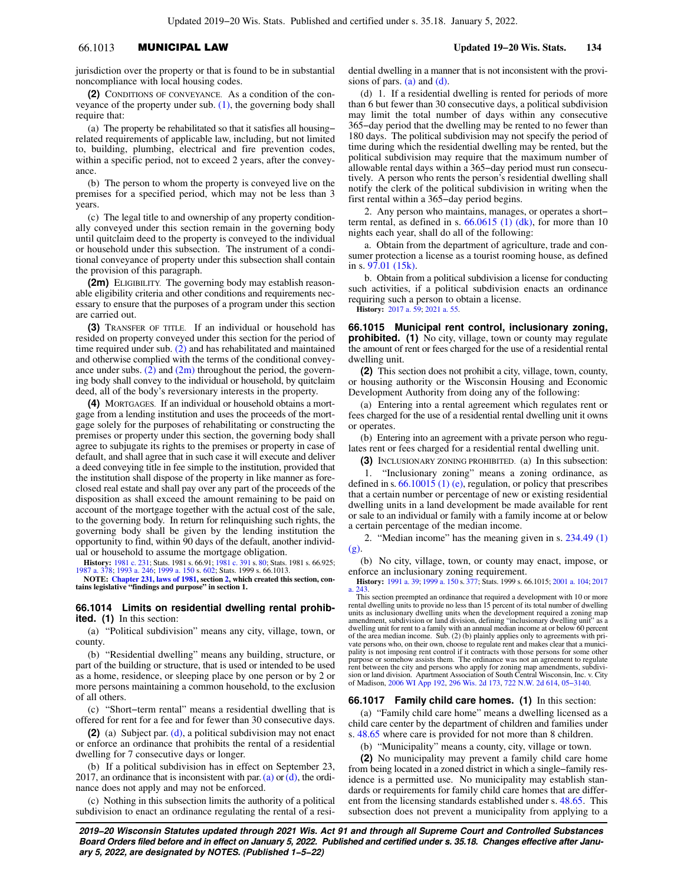# 66.1013 MUNICIPAL LAW **Updated 19−20 Wis. Stats. 134**

jurisdiction over the property or that is found to be in substantial noncompliance with local housing codes.

**(2)** CONDITIONS OF CONVEYANCE. As a condition of the conveyance of the property under sub.  $(1)$ , the governing body shall require that:

(a) The property be rehabilitated so that it satisfies all housing− related requirements of applicable law, including, but not limited to, building, plumbing, electrical and fire prevention codes, within a specific period, not to exceed 2 years, after the conveyance.

(b) The person to whom the property is conveyed live on the premises for a specified period, which may not be less than 3 years.

(c) The legal title to and ownership of any property conditionally conveyed under this section remain in the governing body until quitclaim deed to the property is conveyed to the individual or household under this subsection. The instrument of a conditional conveyance of property under this subsection shall contain the provision of this paragraph.

**(2m)** ELIGIBILITY. The governing body may establish reasonable eligibility criteria and other conditions and requirements necessary to ensure that the purposes of a program under this section are carried out.

**(3)** TRANSFER OF TITLE. If an individual or household has resided on property conveyed under this section for the period of time required under sub. (2) and has rehabilitated and maintained and otherwise complied with the terms of the conditional conveyance under subs.  $(2)$  and  $(2m)$  throughout the period, the governing body shall convey to the individual or household, by quitclaim deed, all of the body's reversionary interests in the property.

**(4)** MORTGAGES. If an individual or household obtains a mortgage from a lending institution and uses the proceeds of the mortgage solely for the purposes of rehabilitating or constructing the premises or property under this section, the governing body shall agree to subjugate its rights to the premises or property in case of default, and shall agree that in such case it will execute and deliver a deed conveying title in fee simple to the institution, provided that the institution shall dispose of the property in like manner as foreclosed real estate and shall pay over any part of the proceeds of the disposition as shall exceed the amount remaining to be paid on account of the mortgage together with the actual cost of the sale, to the governing body. In return for relinquishing such rights, the governing body shall be given by the lending institution the opportunity to find, within 90 days of the default, another individual or household to assume the mortgage obligation.

**History:** 1981 c. 231; Stats. 1981 s. 66.91; 1981 c. 391 s. 80; Stats. 1981 s. 66.925; 1987 a. 378; 1993 a. 246; 1999 a. 150 s. 602; Stats. 1999 s. 66.1013.

**NOTE: Chapter 231, laws of 1981, section 2, which created this section, con-tains legislative "findings and purpose" in section 1.**

## **66.1014 Limits on residential dwelling rental prohibited. (1)** In this section:

(a) "Political subdivision" means any city, village, town, or county.

(b) "Residential dwelling" means any building, structure, or part of the building or structure, that is used or intended to be used as a home, residence, or sleeping place by one person or by 2 or more persons maintaining a common household, to the exclusion of all others.

(c) "Short−term rental" means a residential dwelling that is offered for rent for a fee and for fewer than 30 consecutive days.

**(2)** (a) Subject par. (d), a political subdivision may not enact or enforce an ordinance that prohibits the rental of a residential dwelling for 7 consecutive days or longer.

(b) If a political subdivision has in effect on September 23, 2017, an ordinance that is inconsistent with par. (a) or  $(d)$ , the ordinance does not apply and may not be enforced.

(c) Nothing in this subsection limits the authority of a political subdivision to enact an ordinance regulating the rental of a residential dwelling in a manner that is not inconsistent with the provisions of pars.  $(a)$  and  $(d)$ .

(d) 1. If a residential dwelling is rented for periods of more than 6 but fewer than 30 consecutive days, a political subdivision may limit the total number of days within any consecutive 365−day period that the dwelling may be rented to no fewer than 180 days. The political subdivision may not specify the period of time during which the residential dwelling may be rented, but the political subdivision may require that the maximum number of allowable rental days within a 365−day period must run consecutively. A person who rents the person's residential dwelling shall notify the clerk of the political subdivision in writing when the first rental within a 365−day period begins.

2. Any person who maintains, manages, or operates a short− term rental, as defined in s.  $66.0615$  (1) (dk), for more than 10 nights each year, shall do all of the following:

a. Obtain from the department of agriculture, trade and consumer protection a license as a tourist rooming house, as defined in s. 97.01 (15k).

b. Obtain from a political subdivision a license for conducting such activities, if a political subdivision enacts an ordinance requiring such a person to obtain a license. **History:** 2017 a. 59; 2021 a. 55.

**66.1015 Municipal rent control, inclusionary zoning, prohibited.** (1) No city, village, town or county may regulate the amount of rent or fees charged for the use of a residential rental dwelling unit.

**(2)** This section does not prohibit a city, village, town, county, or housing authority or the Wisconsin Housing and Economic Development Authority from doing any of the following:

(a) Entering into a rental agreement which regulates rent or fees charged for the use of a residential rental dwelling unit it owns or operates.

(b) Entering into an agreement with a private person who regulates rent or fees charged for a residential rental dwelling unit.

**(3)** INCLUSIONARY ZONING PROHIBITED. (a) In this subsection:

1. "Inclusionary zoning" means a zoning ordinance, as defined in s. 66.10015 (1) (e), regulation, or policy that prescribes that a certain number or percentage of new or existing residential dwelling units in a land development be made available for rent or sale to an individual or family with a family income at or below a certain percentage of the median income.

2. "Median income" has the meaning given in s. 234.49 (1) (g).

(b) No city, village, town, or county may enact, impose, or enforce an inclusionary zoning requirement.

**History:** 1991 a. 39; 1999 a. 150 s. 377; Stats. 1999 s. 66.1015; 2001 a. 104; 2017 a. 243.

This section preempted an ordinance that required a development with 10 or more rental dwelling units to provide no less than 15 percent of its total number of dwelling units as inclusionary dwelling units when the development required a zoning map amendment, subdivision or land division, defining "inclusionary dwelling unit" as a dwelling unit for rent to a family with an annual median income at or below 60 percent of the area median income. Sub. (2) (b) plainly applies only to agreements with pri-<br>vate persons who, on their own, choose to regulate rent and makes clear that a munici-<br>pality is not imposing rent control if it contract  $\overline{\text{p}}$  ose or somehow assists them. The ordinance was not an agreement to regulate rent between the city and persons who apply for zoning map amendments, subdivision or land division. Apartment Association of South Central Wisconsin, Inc. v. City of Madison, 2006 WI App 192, 296 Wis. 2d 173, 722 N.W. 2d 614, 05−3140.

## **66.1017 Family child care homes. (1)** In this section:

(a) "Family child care home" means a dwelling licensed as a child care center by the department of children and families under s. 48.65 where care is provided for not more than 8 children.

(b) "Municipality" means a county, city, village or town.

**(2)** No municipality may prevent a family child care home from being located in a zoned district in which a single−family residence is a permitted use. No municipality may establish standards or requirements for family child care homes that are different from the licensing standards established under s. 48.65. This subsection does not prevent a municipality from applying to a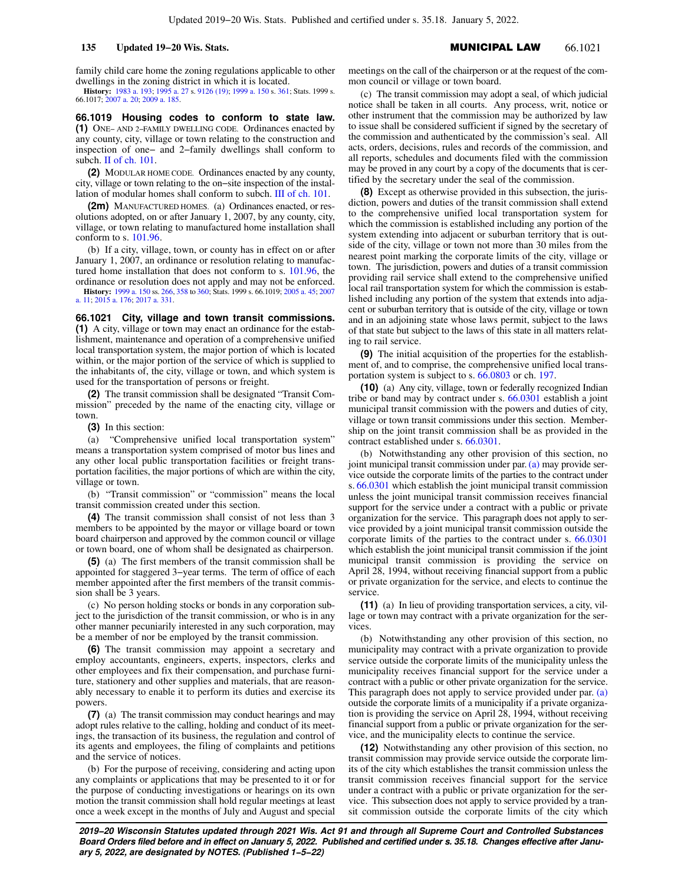family child care home the zoning regulations applicable to other dwellings in the zoning district in which it is located.

**History:** 1983 a. 193; 1995 a. 27 s. 9126 (19); 1999 a. 150 s. 361; Stats. 1999 s. 66.1017; 2007 a. 20; 2009 a. 185.

**66.1019 Housing codes to conform to state law. (1)** ONE− AND 2−FAMILY DWELLING CODE. Ordinances enacted by any county, city, village or town relating to the construction and inspection of one− and 2−family dwellings shall conform to subch. II of ch. 101.

**(2)** MODULAR HOME CODE. Ordinances enacted by any county, city, village or town relating to the on−site inspection of the installation of modular homes shall conform to subch. III of ch. 101.

**(2m)** MANUFACTURED HOMES. (a) Ordinances enacted, or resolutions adopted, on or after January 1, 2007, by any county, city, village, or town relating to manufactured home installation shall conform to s. 101.96.

(b) If a city, village, town, or county has in effect on or after January 1, 2007, an ordinance or resolution relating to manufactured home installation that does not conform to s. 101.96, the ordinance or resolution does not apply and may not be enforced.

**History:** 1999 a. 150 ss. 266, 358 to 360; Stats. 1999 s. 66.1019; 2005 a. 45; 2007 a. 11; 2015 a. 176; 2017 a. 331.

**66.1021 City, village and town transit commissions. (1)** A city, village or town may enact an ordinance for the establishment, maintenance and operation of a comprehensive unified local transportation system, the major portion of which is located within, or the major portion of the service of which is supplied to the inhabitants of, the city, village or town, and which system is used for the transportation of persons or freight.

**(2)** The transit commission shall be designated "Transit Commission" preceded by the name of the enacting city, village or town.

**(3)** In this section:

(a) "Comprehensive unified local transportation system" means a transportation system comprised of motor bus lines and any other local public transportation facilities or freight transportation facilities, the major portions of which are within the city, village or town.

(b) "Transit commission" or "commission" means the local transit commission created under this section.

**(4)** The transit commission shall consist of not less than 3 members to be appointed by the mayor or village board or town board chairperson and approved by the common council or village or town board, one of whom shall be designated as chairperson.

**(5)** (a) The first members of the transit commission shall be appointed for staggered 3−year terms. The term of office of each member appointed after the first members of the transit commission shall be 3 years.

(c) No person holding stocks or bonds in any corporation subject to the jurisdiction of the transit commission, or who is in any other manner pecuniarily interested in any such corporation, may be a member of nor be employed by the transit commission.

**(6)** The transit commission may appoint a secretary and employ accountants, engineers, experts, inspectors, clerks and other employees and fix their compensation, and purchase furniture, stationery and other supplies and materials, that are reasonably necessary to enable it to perform its duties and exercise its powers.

**(7)** (a) The transit commission may conduct hearings and may adopt rules relative to the calling, holding and conduct of its meetings, the transaction of its business, the regulation and control of its agents and employees, the filing of complaints and petitions and the service of notices.

(b) For the purpose of receiving, considering and acting upon any complaints or applications that may be presented to it or for the purpose of conducting investigations or hearings on its own motion the transit commission shall hold regular meetings at least once a week except in the months of July and August and special meetings on the call of the chairperson or at the request of the common council or village or town board.

(c) The transit commission may adopt a seal, of which judicial notice shall be taken in all courts. Any process, writ, notice or other instrument that the commission may be authorized by law to issue shall be considered sufficient if signed by the secretary of the commission and authenticated by the commission's seal. All acts, orders, decisions, rules and records of the commission, and all reports, schedules and documents filed with the commission may be proved in any court by a copy of the documents that is certified by the secretary under the seal of the commission.

**(8)** Except as otherwise provided in this subsection, the jurisdiction, powers and duties of the transit commission shall extend to the comprehensive unified local transportation system for which the commission is established including any portion of the system extending into adjacent or suburban territory that is outside of the city, village or town not more than 30 miles from the nearest point marking the corporate limits of the city, village or town. The jurisdiction, powers and duties of a transit commission providing rail service shall extend to the comprehensive unified local rail transportation system for which the commission is established including any portion of the system that extends into adjacent or suburban territory that is outside of the city, village or town and in an adjoining state whose laws permit, subject to the laws of that state but subject to the laws of this state in all matters relating to rail service.

**(9)** The initial acquisition of the properties for the establishment of, and to comprise, the comprehensive unified local transportation system is subject to s. 66.0803 or ch. 197.

**(10)** (a) Any city, village, town or federally recognized Indian tribe or band may by contract under s. 66.0301 establish a joint municipal transit commission with the powers and duties of city, village or town transit commissions under this section. Membership on the joint transit commission shall be as provided in the contract established under s. 66.0301.

(b) Notwithstanding any other provision of this section, no joint municipal transit commission under par. (a) may provide service outside the corporate limits of the parties to the contract under s. 66.0301 which establish the joint municipal transit commission unless the joint municipal transit commission receives financial support for the service under a contract with a public or private organization for the service. This paragraph does not apply to service provided by a joint municipal transit commission outside the corporate limits of the parties to the contract under s. 66.0301 which establish the joint municipal transit commission if the joint municipal transit commission is providing the service on April 28, 1994, without receiving financial support from a public or private organization for the service, and elects to continue the service.

**(11)** (a) In lieu of providing transportation services, a city, village or town may contract with a private organization for the services.

(b) Notwithstanding any other provision of this section, no municipality may contract with a private organization to provide service outside the corporate limits of the municipality unless the municipality receives financial support for the service under a contract with a public or other private organization for the service. This paragraph does not apply to service provided under par. (a) outside the corporate limits of a municipality if a private organization is providing the service on April 28, 1994, without receiving financial support from a public or private organization for the service, and the municipality elects to continue the service.

**(12)** Notwithstanding any other provision of this section, no transit commission may provide service outside the corporate limits of the city which establishes the transit commission unless the transit commission receives financial support for the service under a contract with a public or private organization for the service. This subsection does not apply to service provided by a transit commission outside the corporate limits of the city which

**2019−20 Wisconsin Statutes updated through 2021 Wis. Act 91 and through all Supreme Court and Controlled Substances Board Orders filed before and in effect on January 5, 2022. Published and certified under s. 35.18. Changes effective after January 5, 2022, are designated by NOTES. (Published 1−5−22)**

# **135 Updated 19−20 Wis. Stats.** MUNICIPAL LAW 66.1021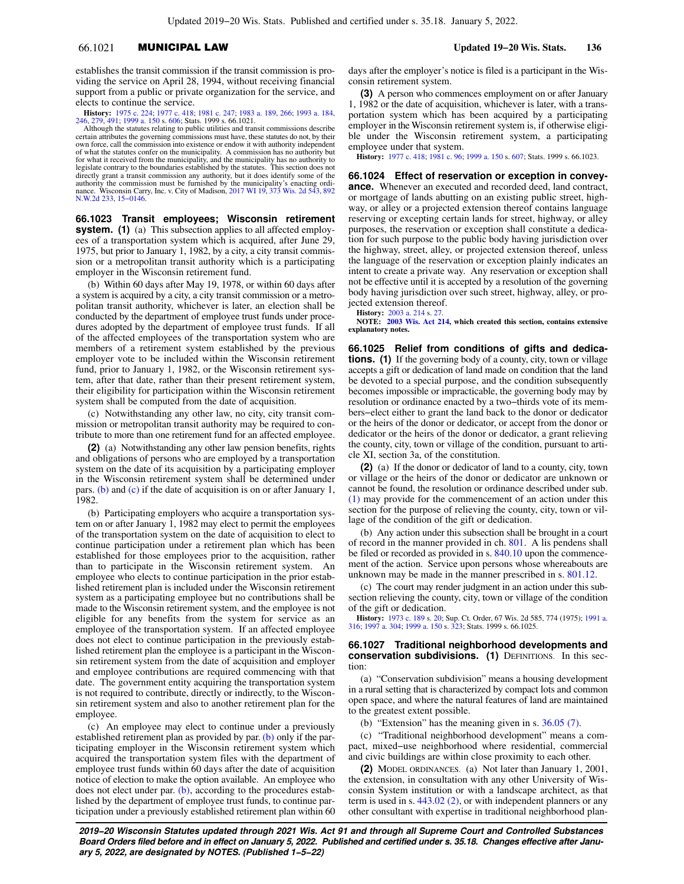# 66.1021 MUNICIPAL LAW **Updated 19−20 Wis. Stats. 136**

establishes the transit commission if the transit commission is providing the service on April 28, 1994, without receiving financial support from a public or private organization for the service, and elects to continue the service.

**History:** 1975 c. 224; 1977 c. 418; 1981 c. 247; 1983 a. 189, 266; 1993 a. 184, 246, 279, 491; 1999 a. 150 s. 606; Stats. 1999 s. 66.1021.

Although the statutes relating to public utilities and transit commissions describe certain attributes the governing commissions must have, these statutes do not, by their own force, call the commission into existence or endow it with authority independent of what the statutes confer on the municipality. A commission has no authority but<br>for what it received from the municipality, and the municipality has no authority to<br>legislate contrary to the boundaries established by th directly grant a transit commission any authority, but it does identify some of the<br>authority the commission must be furnished by the municipality's enacting ordi-<br>nance. Wisconsin Carry, Inc. v. City of Madison, 2017 WI 1 N.W.2d 233, 15−0146.

**66.1023 Transit employees; Wisconsin retirement system.** (1) (a) This subsection applies to all affected employees of a transportation system which is acquired, after June 29, 1975, but prior to January 1, 1982, by a city, a city transit commission or a metropolitan transit authority which is a participating employer in the Wisconsin retirement fund.

(b) Within 60 days after May 19, 1978, or within 60 days after a system is acquired by a city, a city transit commission or a metropolitan transit authority, whichever is later, an election shall be conducted by the department of employee trust funds under procedures adopted by the department of employee trust funds. If all of the affected employees of the transportation system who are members of a retirement system established by the previous employer vote to be included within the Wisconsin retirement fund, prior to January 1, 1982, or the Wisconsin retirement system, after that date, rather than their present retirement system, their eligibility for participation within the Wisconsin retirement system shall be computed from the date of acquisition.

(c) Notwithstanding any other law, no city, city transit commission or metropolitan transit authority may be required to contribute to more than one retirement fund for an affected employee.

**(2)** (a) Notwithstanding any other law pension benefits, rights and obligations of persons who are employed by a transportation system on the date of its acquisition by a participating employer in the Wisconsin retirement system shall be determined under pars. (b) and (c) if the date of acquisition is on or after January 1, 1982.

(b) Participating employers who acquire a transportation system on or after January 1, 1982 may elect to permit the employees of the transportation system on the date of acquisition to elect to continue participation under a retirement plan which has been established for those employees prior to the acquisition, rather than to participate in the Wisconsin retirement system. An employee who elects to continue participation in the prior established retirement plan is included under the Wisconsin retirement system as a participating employee but no contributions shall be made to the Wisconsin retirement system, and the employee is not eligible for any benefits from the system for service as an employee of the transportation system. If an affected employee does not elect to continue participation in the previously established retirement plan the employee is a participant in the Wisconsin retirement system from the date of acquisition and employer and employee contributions are required commencing with that date. The government entity acquiring the transportation system is not required to contribute, directly or indirectly, to the Wisconsin retirement system and also to another retirement plan for the employee.

(c) An employee may elect to continue under a previously established retirement plan as provided by par.  $(b)$  only if the participating employer in the Wisconsin retirement system which acquired the transportation system files with the department of employee trust funds within 60 days after the date of acquisition notice of election to make the option available. An employee who does not elect under par. (b), according to the procedures established by the department of employee trust funds, to continue participation under a previously established retirement plan within 60 days after the employer's notice is filed is a participant in the Wisconsin retirement system.

**(3)** A person who commences employment on or after January 1, 1982 or the date of acquisition, whichever is later, with a transportation system which has been acquired by a participating employer in the Wisconsin retirement system is, if otherwise eligible under the Wisconsin retirement system, a participating employee under that system.

**History:** 1977 c. 418; 1981 c. 96; 1999 a. 150 s. 607; Stats. 1999 s. 66.1023.

**66.1024 Effect of reservation or exception in conveyance.** Whenever an executed and recorded deed, land contract, or mortgage of lands abutting on an existing public street, highway, or alley or a projected extension thereof contains language reserving or excepting certain lands for street, highway, or alley purposes, the reservation or exception shall constitute a dedication for such purpose to the public body having jurisdiction over the highway, street, alley, or projected extension thereof, unless the language of the reservation or exception plainly indicates an intent to create a private way. Any reservation or exception shall not be effective until it is accepted by a resolution of the governing body having jurisdiction over such street, highway, alley, or projected extension thereof.

**History:** 2003 a. 214 s. 27. **NOTE: 2003 Wis. Act 214, which created this section, contains extensive explanatory notes.**

**66.1025 Relief from conditions of gifts and dedications. (1)** If the governing body of a county, city, town or village accepts a gift or dedication of land made on condition that the land be devoted to a special purpose, and the condition subsequently becomes impossible or impracticable, the governing body may by resolution or ordinance enacted by a two−thirds vote of its members−elect either to grant the land back to the donor or dedicator or the heirs of the donor or dedicator, or accept from the donor or dedicator or the heirs of the donor or dedicator, a grant relieving the county, city, town or village of the condition, pursuant to article XI, section 3a, of the constitution.

**(2)** (a) If the donor or dedicator of land to a county, city, town or village or the heirs of the donor or dedicator are unknown or cannot be found, the resolution or ordinance described under sub. (1) may provide for the commencement of an action under this section for the purpose of relieving the county, city, town or village of the condition of the gift or dedication.

(b) Any action under this subsection shall be brought in a court of record in the manner provided in ch. 801. A lis pendens shall be filed or recorded as provided in s. 840.10 upon the commencement of the action. Service upon persons whose whereabouts are unknown may be made in the manner prescribed in s. 801.12.

(c) The court may render judgment in an action under this subsection relieving the county, city, town or village of the condition of the gift or dedication.

**History:** 1973 c. 189 s. 20; Sup. Ct. Order, 67 Wis. 2d 585, 774 (1975); 1991 a. 316; 1997 a. 304; 1999 a. 150 s. 323; Stats. 1999 s. 66.1025.

### **66.1027 Traditional neighborhood developments and conservation subdivisions.** (1) DEFINITIONS. In this section:

(a) "Conservation subdivision" means a housing development in a rural setting that is characterized by compact lots and common open space, and where the natural features of land are maintained to the greatest extent possible.

(b) "Extension" has the meaning given in s. 36.05 (7).

(c) "Traditional neighborhood development" means a compact, mixed−use neighborhood where residential, commercial and civic buildings are within close proximity to each other.

**(2)** MODEL ORDINANCES. (a) Not later than January 1, 2001, the extension, in consultation with any other University of Wisconsin System institution or with a landscape architect, as that term is used in s. 443.02 (2), or with independent planners or any other consultant with expertise in traditional neighborhood plan-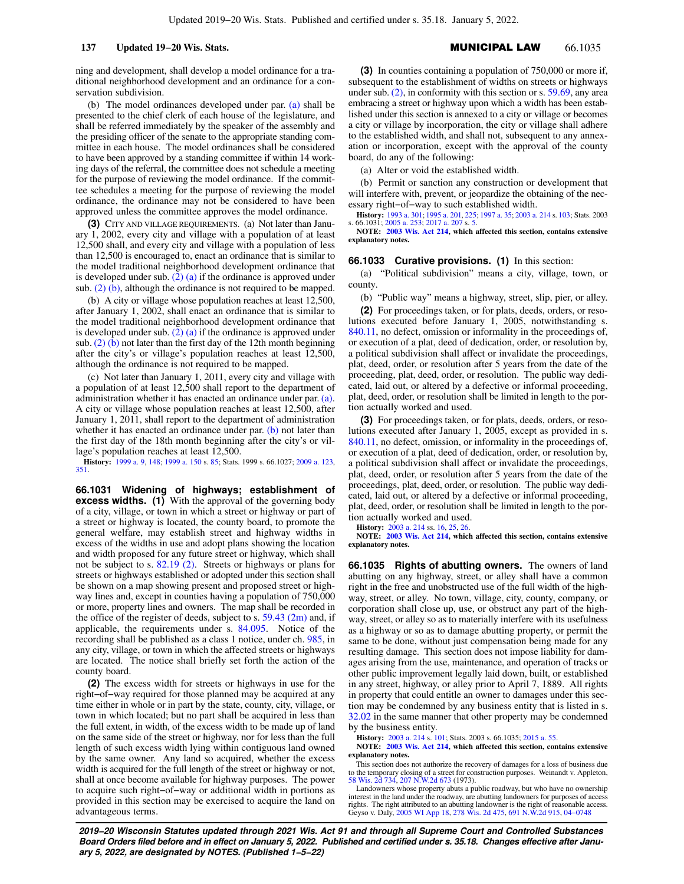ning and development, shall develop a model ordinance for a traditional neighborhood development and an ordinance for a conservation subdivision.

(b) The model ordinances developed under par. (a) shall be presented to the chief clerk of each house of the legislature, and shall be referred immediately by the speaker of the assembly and the presiding officer of the senate to the appropriate standing committee in each house. The model ordinances shall be considered to have been approved by a standing committee if within 14 working days of the referral, the committee does not schedule a meeting for the purpose of reviewing the model ordinance. If the committee schedules a meeting for the purpose of reviewing the model ordinance, the ordinance may not be considered to have been approved unless the committee approves the model ordinance.

**(3)** CITY AND VILLAGE REQUIREMENTS. (a) Not later than January 1, 2002, every city and village with a population of at least 12,500 shall, and every city and village with a population of less than 12,500 is encouraged to, enact an ordinance that is similar to the model traditional neighborhood development ordinance that is developed under sub.  $(2)$  (a) if the ordinance is approved under sub.  $(2)$  (b), although the ordinance is not required to be mapped.

(b) A city or village whose population reaches at least 12,500, after January 1, 2002, shall enact an ordinance that is similar to the model traditional neighborhood development ordinance that is developed under sub.  $(2)$  (a) if the ordinance is approved under sub.  $(2)$  (b) not later than the first day of the 12th month beginning after the city's or village's population reaches at least 12,500, although the ordinance is not required to be mapped.

(c) Not later than January 1, 2011, every city and village with a population of at least 12,500 shall report to the department of administration whether it has enacted an ordinance under par. (a). A city or village whose population reaches at least 12,500, after January 1, 2011, shall report to the department of administration whether it has enacted an ordinance under par. (b) not later than the first day of the 18th month beginning after the city's or village's population reaches at least 12,500.

**History:** 1999 a. 9, 148; 1999 a. 150 s. 85; Stats. 1999 s. 66.1027; 2009 a. 123, 351.

**66.1031 Widening of highways; establishment of excess widths.** (1) With the approval of the governing body of a city, village, or town in which a street or highway or part of a street or highway is located, the county board, to promote the general welfare, may establish street and highway widths in excess of the widths in use and adopt plans showing the location and width proposed for any future street or highway, which shall not be subject to s. 82.19 (2). Streets or highways or plans for streets or highways established or adopted under this section shall be shown on a map showing present and proposed street or highway lines and, except in counties having a population of 750,000 or more, property lines and owners. The map shall be recorded in the office of the register of deeds, subject to s. 59.43 (2m) and, if applicable, the requirements under s. 84.095. Notice of the recording shall be published as a class 1 notice, under ch. 985, in any city, village, or town in which the affected streets or highways are located. The notice shall briefly set forth the action of the county board.

**(2)** The excess width for streets or highways in use for the right−of−way required for those planned may be acquired at any time either in whole or in part by the state, county, city, village, or town in which located; but no part shall be acquired in less than the full extent, in width, of the excess width to be made up of land on the same side of the street or highway, nor for less than the full length of such excess width lying within contiguous land owned by the same owner. Any land so acquired, whether the excess width is acquired for the full length of the street or highway or not, shall at once become available for highway purposes. The power to acquire such right−of−way or additional width in portions as provided in this section may be exercised to acquire the land on advantageous terms.

**(3)** In counties containing a population of 750,000 or more if, subsequent to the establishment of widths on streets or highways under sub. (2), in conformity with this section or s. 59.69, any area embracing a street or highway upon which a width has been established under this section is annexed to a city or village or becomes a city or village by incorporation, the city or village shall adhere to the established width, and shall not, subsequent to any annexation or incorporation, except with the approval of the county board, do any of the following:

(a) Alter or void the established width.

(b) Permit or sanction any construction or development that will interfere with, prevent, or jeopardize the obtaining of the necessary right−of−way to such established width.

**History:** 1993 a. 301; 1995 a. 201, 225; 1997 a. 35; 2003 a. 214 s. 103; Stats. 2003 s. 66.1031; 2005 a. 253; 2017 a. 207 s. 5.

**NOTE: 2003 Wis. Act 214, which affected this section, contains extensive explanatory notes.**

### **66.1033 Curative provisions. (1)** In this section:

(a) "Political subdivision" means a city, village, town, or county.

(b) "Public way" means a highway, street, slip, pier, or alley.

**(2)** For proceedings taken, or for plats, deeds, orders, or resolutions executed before January 1, 2005, notwithstanding s. 840.11, no defect, omission or informality in the proceedings of, or execution of a plat, deed of dedication, order, or resolution by, a political subdivision shall affect or invalidate the proceedings, plat, deed, order, or resolution after 5 years from the date of the proceeding, plat, deed, order, or resolution. The public way dedicated, laid out, or altered by a defective or informal proceeding, plat, deed, order, or resolution shall be limited in length to the portion actually worked and used.

**(3)** For proceedings taken, or for plats, deeds, orders, or resolutions executed after January 1, 2005, except as provided in s. 840.11, no defect, omission, or informality in the proceedings of, or execution of a plat, deed of dedication, order, or resolution by, a political subdivision shall affect or invalidate the proceedings, plat, deed, order, or resolution after 5 years from the date of the proceedings, plat, deed, order, or resolution. The public way dedicated, laid out, or altered by a defective or informal proceeding, plat, deed, order, or resolution shall be limited in length to the portion actually worked and used.

**History:** 2003 a. 214 ss. 16, 25, 26.

**NOTE: 2003 Wis. Act 214, which affected this section, contains extensive explanatory notes.**

**66.1035 Rights of abutting owners.** The owners of land abutting on any highway, street, or alley shall have a common right in the free and unobstructed use of the full width of the highway, street, or alley. No town, village, city, county, company, or corporation shall close up, use, or obstruct any part of the highway, street, or alley so as to materially interfere with its usefulness as a highway or so as to damage abutting property, or permit the same to be done, without just compensation being made for any resulting damage. This section does not impose liability for damages arising from the use, maintenance, and operation of tracks or other public improvement legally laid down, built, or established in any street, highway, or alley prior to April 7, 1889. All rights in property that could entitle an owner to damages under this section may be condemned by any business entity that is listed in s. 32.02 in the same manner that other property may be condemned by the business entity.

**History:** 2003 a. 214 s. 101; Stats. 2003 s. 66.1035; 2015 a. 55.

**NOTE: 2003 Wis. Act 214, which affected this section, contains extensive explanatory notes.**

This section does not authorize the recovery of damages for a loss of business due to the temporary closing of a street for construction purposes. Weinandt v. Appleton, 58 Wis. 2d 734, 207 N.W.2d 673 (1973).

Landowners whose property abuts a public roadway, but who have no ownership interest in the land under the roadway, are abutting landowners for purposes of access rights. The right attributed to an abutting landowner is the right of reasonable access. Geyso v. Daly, 2005 WI App 18, 278 Wis. 2d 475, 691 N.W.2d 915, 04−0748